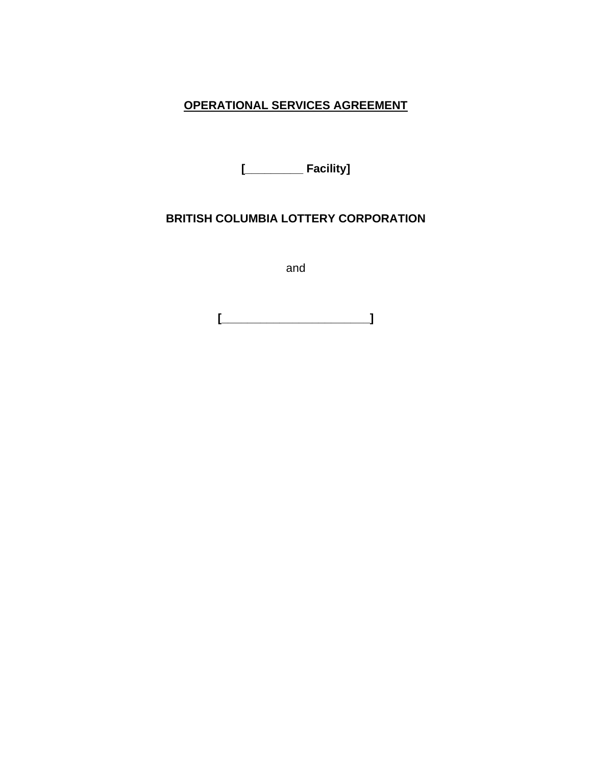# **OPERATIONAL SERVICES AGREEMENT**

**[\_\_\_\_\_\_\_\_\_ Facility]**

## **BRITISH COLUMBIA LOTTERY CORPORATION**

and

**[\_\_\_\_\_\_\_\_\_\_\_\_\_\_\_\_\_\_\_\_\_\_\_]**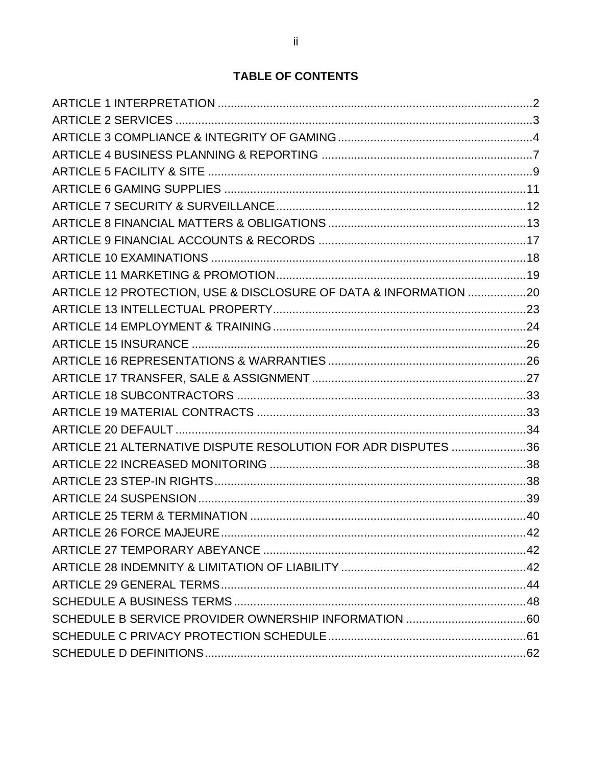# **TABLE OF CONTENTS**

| ARTICLE 12 PROTECTION, USE & DISCLOSURE OF DATA & INFORMATION 20 |  |
|------------------------------------------------------------------|--|
|                                                                  |  |
|                                                                  |  |
|                                                                  |  |
|                                                                  |  |
|                                                                  |  |
|                                                                  |  |
|                                                                  |  |
|                                                                  |  |
| ARTICLE 21 ALTERNATIVE DISPUTE RESOLUTION FOR ADR DISPUTES 36    |  |
|                                                                  |  |
|                                                                  |  |
|                                                                  |  |
|                                                                  |  |
|                                                                  |  |
|                                                                  |  |
|                                                                  |  |
|                                                                  |  |
|                                                                  |  |
|                                                                  |  |
|                                                                  |  |
|                                                                  |  |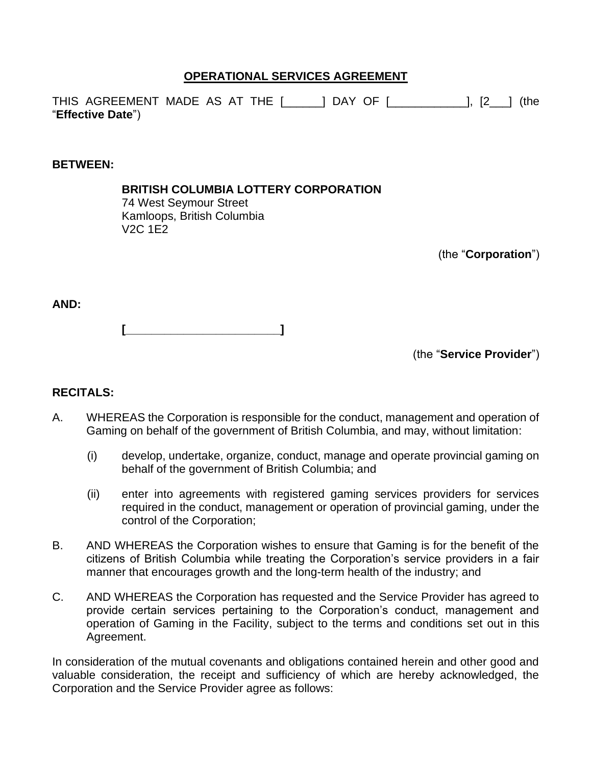## **OPERATIONAL SERVICES AGREEMENT**

THIS AGREEMENT MADE AS AT THE [\_\_\_\_\_\_] DAY OF [\_\_\_\_\_\_\_\_\_\_\_\_], [2\_\_\_] (the "**Effective Date**")

#### **BETWEEN:**

**BRITISH COLUMBIA LOTTERY CORPORATION** 74 West Seymour Street Kamloops, British Columbia V2C 1E2

(the "**Corporation**")

**AND:**

**[\_\_\_\_\_\_\_\_\_\_\_\_\_\_\_\_\_\_\_\_\_\_\_\_]**

(the "**Service Provider**")

## **RECITALS:**

- A. WHEREAS the Corporation is responsible for the conduct, management and operation of Gaming on behalf of the government of British Columbia, and may, without limitation:
	- (i) develop, undertake, organize, conduct, manage and operate provincial gaming on behalf of the government of British Columbia; and
	- (ii) enter into agreements with registered gaming services providers for services required in the conduct, management or operation of provincial gaming, under the control of the Corporation;
- B. AND WHEREAS the Corporation wishes to ensure that Gaming is for the benefit of the citizens of British Columbia while treating the Corporation's service providers in a fair manner that encourages growth and the long-term health of the industry; and
- C. AND WHEREAS the Corporation has requested and the Service Provider has agreed to provide certain services pertaining to the Corporation's conduct, management and operation of Gaming in the Facility, subject to the terms and conditions set out in this Agreement.

In consideration of the mutual covenants and obligations contained herein and other good and valuable consideration, the receipt and sufficiency of which are hereby acknowledged, the Corporation and the Service Provider agree as follows: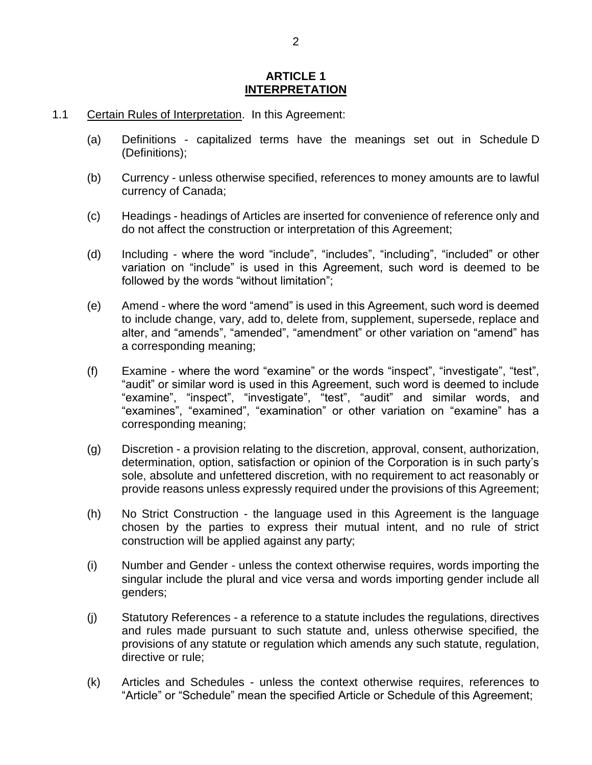#### **ARTICLE 1 INTERPRETATION**

- <span id="page-3-0"></span>1.1 Certain Rules of Interpretation. In this Agreement:
	- (a) Definitions capitalized terms have the meanings set out in [Schedule](#page--1-2) D [\(Definitions\)](#page--1-2);
	- (b) Currency unless otherwise specified, references to money amounts are to lawful currency of Canada;
	- (c) Headings headings of Articles are inserted for convenience of reference only and do not affect the construction or interpretation of this Agreement;
	- (d) Including where the word "include", "includes", "including", "included" or other variation on "include" is used in this Agreement, such word is deemed to be followed by the words "without limitation";
	- (e) Amend where the word "amend" is used in this Agreement, such word is deemed to include change, vary, add to, delete from, supplement, supersede, replace and alter, and "amends", "amended", "amendment" or other variation on "amend" has a corresponding meaning;
	- (f) Examine where the word "examine" or the words "inspect", "investigate", "test", "audit" or similar word is used in this Agreement, such word is deemed to include "examine", "inspect", "investigate", "test", "audit" and similar words, and "examines", "examined", "examination" or other variation on "examine" has a corresponding meaning;
	- (g) Discretion a provision relating to the discretion, approval, consent, authorization, determination, option, satisfaction or opinion of the Corporation is in such party's sole, absolute and unfettered discretion, with no requirement to act reasonably or provide reasons unless expressly required under the provisions of this Agreement;
	- (h) No Strict Construction the language used in this Agreement is the language chosen by the parties to express their mutual intent, and no rule of strict construction will be applied against any party;
	- (i) Number and Gender unless the context otherwise requires, words importing the singular include the plural and vice versa and words importing gender include all genders;
	- (j) Statutory References a reference to a statute includes the regulations, directives and rules made pursuant to such statute and, unless otherwise specified, the provisions of any statute or regulation which amends any such statute, regulation, directive or rule;
	- (k) Articles and Schedules unless the context otherwise requires, references to "Article" or "Schedule" mean the specified Article or Schedule of this Agreement;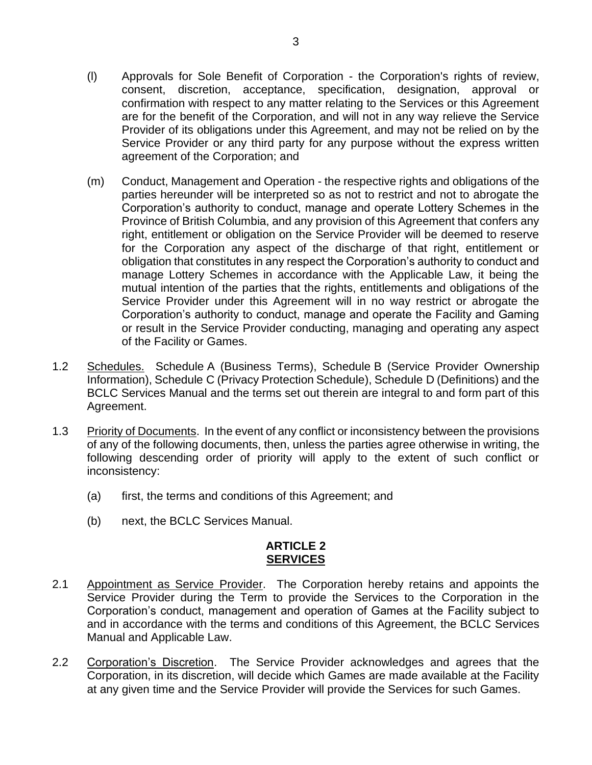- (l) Approvals for Sole Benefit of Corporation the Corporation's rights of review, consent, discretion, acceptance, specification, designation, approval or confirmation with respect to any matter relating to the Services or this Agreement are for the benefit of the Corporation, and will not in any way relieve the Service Provider of its obligations under this Agreement, and may not be relied on by the Service Provider or any third party for any purpose without the express written agreement of the Corporation; and
- (m) Conduct, Management and Operation the respective rights and obligations of the parties hereunder will be interpreted so as not to restrict and not to abrogate the Corporation's authority to conduct, manage and operate Lottery Schemes in the Province of British Columbia, and any provision of this Agreement that confers any right, entitlement or obligation on the Service Provider will be deemed to reserve for the Corporation any aspect of the discharge of that right, entitlement or obligation that constitutes in any respect the Corporation's authority to conduct and manage Lottery Schemes in accordance with the Applicable Law, it being the mutual intention of the parties that the rights, entitlements and obligations of the Service Provider under this Agreement will in no way restrict or abrogate the Corporation's authority to conduct, manage and operate the Facility and Gaming or result in the Service Provider conducting, managing and operating any aspect of the Facility or Games.
- 1.2 [Schedule](#page--1-0)s. Schedule A [\(Business Terms\)](#page--1-0), [Schedule](#page--1-0) B (Service Provider Ownership [Information\)](#page--1-0), [Schedule](#page--1-1) C [\(Privacy Protection Schedule\)](#page--1-1), [Schedule](#page--1-2) D [\(Definitions\)](#page--1-2) and the BCLC Services Manual and the terms set out therein are integral to and form part of this Agreement.
- 1.3 Priority of Documents. In the event of any conflict or inconsistency between the provisions of any of the following documents, then, unless the parties agree otherwise in writing, the following descending order of priority will apply to the extent of such conflict or inconsistency:
	- (a) first, the terms and conditions of this Agreement; and
	- (b) next, the BCLC Services Manual.

## **ARTICLE 2 SERVICES**

- <span id="page-4-0"></span>2.1 Appointment as Service Provider. The Corporation hereby retains and appoints the Service Provider during the Term to provide the Services to the Corporation in the Corporation's conduct, management and operation of Games at the Facility subject to and in accordance with the terms and conditions of this Agreement, the BCLC Services Manual and Applicable Law.
- 2.2 Corporation's Discretion. The Service Provider acknowledges and agrees that the Corporation, in its discretion, will decide which Games are made available at the Facility at any given time and the Service Provider will provide the Services for such Games.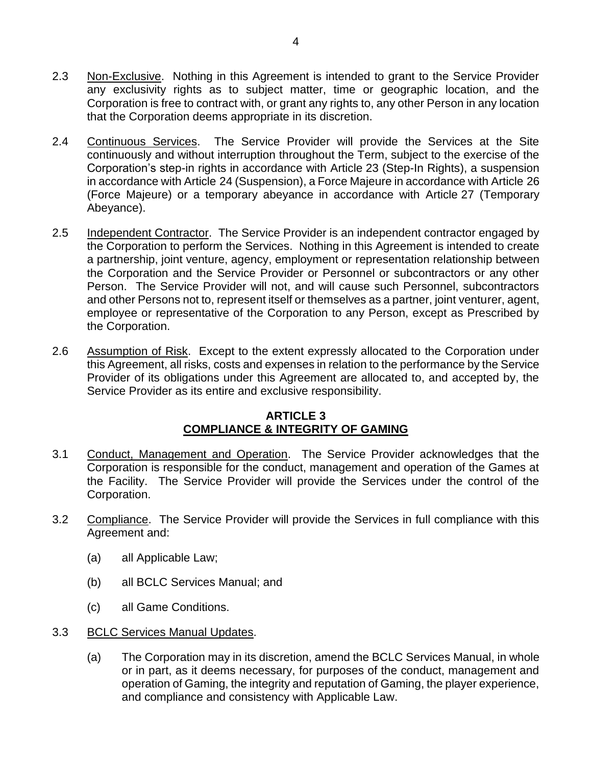- 2.3 Non-Exclusive. Nothing in this Agreement is intended to grant to the Service Provider any exclusivity rights as to subject matter, time or geographic location, and the Corporation is free to contract with, or grant any rights to, any other Person in any location that the Corporation deems appropriate in its discretion.
- 2.4 Continuous Services. The Service Provider will provide the Services at the Site continuously and without interruption throughout the Term, subject to the exercise of the Corporation's step-in rights in accordance with [Article](#page-39-1) 23 [\(Step-In Rights\)](#page-39-1), a suspension in accordance with [Article](#page-40-0) 24 [\(Suspension\)](#page-40-0), a Force Majeure in accordance with [Article](#page-43-0) 26 [\(Force Majeure\)](#page-43-0) or a temporary abeyance in accordance with [Article](#page-43-1) 27 (Temporary Abeyance).
- 2.5 Independent Contractor. The Service Provider is an independent contractor engaged by the Corporation to perform the Services. Nothing in this Agreement is intended to create a partnership, joint venture, agency, employment or representation relationship between the Corporation and the Service Provider or Personnel or subcontractors or any other Person. The Service Provider will not, and will cause such Personnel, subcontractors and other Persons not to, represent itself or themselves as a partner, joint venturer, agent, employee or representative of the Corporation to any Person, except as Prescribed by the Corporation.
- <span id="page-5-5"></span>2.6 Assumption of Risk. Except to the extent expressly allocated to the Corporation under this Agreement, all risks, costs and expenses in relation to the performance by the Service Provider of its obligations under this Agreement are allocated to, and accepted by, the Service Provider as its entire and exclusive responsibility.

## **ARTICLE 3 COMPLIANCE & INTEGRITY OF GAMING**

- <span id="page-5-2"></span><span id="page-5-0"></span>3.1 Conduct, Management and Operation. The Service Provider acknowledges that the Corporation is responsible for the conduct, management and operation of the Games at the Facility. The Service Provider will provide the Services under the control of the Corporation.
- <span id="page-5-6"></span><span id="page-5-3"></span>3.2 Compliance. The Service Provider will provide the Services in full compliance with this Agreement and:
	- (a) all Applicable Law;
	- (b) all BCLC Services Manual; and
	- (c) all Game Conditions.
- <span id="page-5-4"></span><span id="page-5-1"></span>3.3 BCLC Services Manual Updates.
	- (a) The Corporation may in its discretion, amend the BCLC Services Manual, in whole or in part, as it deems necessary, for purposes of the conduct, management and operation of Gaming, the integrity and reputation of Gaming, the player experience, and compliance and consistency with Applicable Law.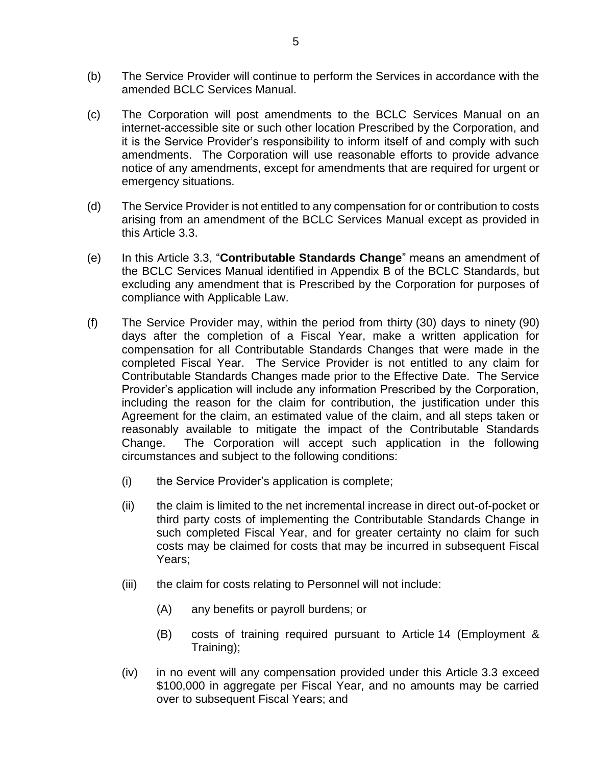- (b) The Service Provider will continue to perform the Services in accordance with the amended BCLC Services Manual.
- (c) The Corporation will post amendments to the BCLC Services Manual on an internet-accessible site or such other location Prescribed by the Corporation, and it is the Service Provider's responsibility to inform itself of and comply with such amendments. The Corporation will use reasonable efforts to provide advance notice of any amendments, except for amendments that are required for urgent or emergency situations.
- (d) The Service Provider is not entitled to any compensation for or contribution to costs arising from an amendment of the BCLC Services Manual except as provided in this Article [3.3.](#page-5-1)
- (e) In this Article [3.3,](#page-5-1) "**Contributable Standards Change**" means an amendment of the BCLC Services Manual identified in Appendix B of the BCLC Standards, but excluding any amendment that is Prescribed by the Corporation for purposes of compliance with Applicable Law.
- <span id="page-6-0"></span>(f) The Service Provider may, within the period from thirty (30) days to ninety (90) days after the completion of a Fiscal Year, make a written application for compensation for all Contributable Standards Changes that were made in the completed Fiscal Year. The Service Provider is not entitled to any claim for Contributable Standards Changes made prior to the Effective Date. The Service Provider's application will include any information Prescribed by the Corporation, including the reason for the claim for contribution, the justification under this Agreement for the claim, an estimated value of the claim, and all steps taken or reasonably available to mitigate the impact of the Contributable Standards Change. The Corporation will accept such application in the following circumstances and subject to the following conditions:
	- (i) the Service Provider's application is complete;
	- (ii) the claim is limited to the net incremental increase in direct out-of-pocket or third party costs of implementing the Contributable Standards Change in such completed Fiscal Year, and for greater certainty no claim for such costs may be claimed for costs that may be incurred in subsequent Fiscal Years;
	- (iii) the claim for costs relating to Personnel will not include:
		- (A) any benefits or payroll burdens; or
		- (B) costs of training required pursuant to [Article](#page-25-0) 14 [\(Employment &](#page-25-0)  [Training\)](#page-25-0);
	- (iv) in no event will any compensation provided under this Article [3.3](#page-5-1) exceed \$100,000 in aggregate per Fiscal Year, and no amounts may be carried over to subsequent Fiscal Years; and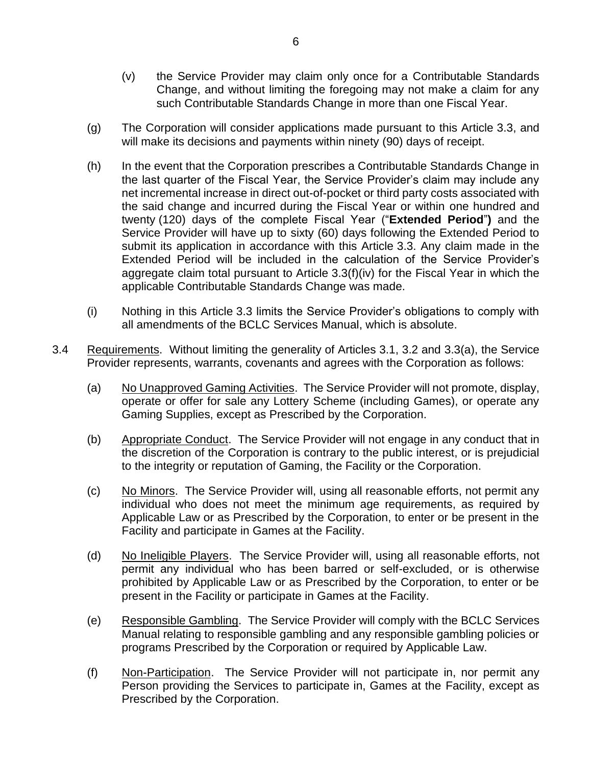- (v) the Service Provider may claim only once for a Contributable Standards Change, and without limiting the foregoing may not make a claim for any such Contributable Standards Change in more than one Fiscal Year.
- (g) The Corporation will consider applications made pursuant to this Article [3.3,](#page-5-1) and will make its decisions and payments within ninety (90) days of receipt.
- (h) In the event that the Corporation prescribes a Contributable Standards Change in the last quarter of the Fiscal Year, the Service Provider's claim may include any net incremental increase in direct out-of-pocket or third party costs associated with the said change and incurred during the Fiscal Year or within one hundred and twenty (120) days of the complete Fiscal Year ("**Extended Period**"**)** and the Service Provider will have up to sixty (60) days following the Extended Period to submit its application in accordance with this Article 3.3. Any claim made in the Extended Period will be included in the calculation of the Service Provider's aggregate claim total pursuant to Article 3.3(f)(iv) for the Fiscal Year in which the applicable Contributable Standards Change was made.
- (i) Nothing in this Article [3.3](#page-5-1) limits the Service Provider's obligations to comply with all amendments of the BCLC Services Manual, which is absolute.
- 3.4 Requirements. Without limiting the generality of Articles [3.1,](#page-5-2) [3.2](#page-5-3) and [3.3\(a\),](#page-5-4) the Service Provider represents, warrants, covenants and agrees with the Corporation as follows:
	- (a) No Unapproved Gaming Activities. The Service Provider will not promote, display, operate or offer for sale any Lottery Scheme (including Games), or operate any Gaming Supplies, except as Prescribed by the Corporation.
	- (b) Appropriate Conduct. The Service Provider will not engage in any conduct that in the discretion of the Corporation is contrary to the public interest, or is prejudicial to the integrity or reputation of Gaming, the Facility or the Corporation.
	- (c) No Minors. The Service Provider will, using all reasonable efforts, not permit any individual who does not meet the minimum age requirements, as required by Applicable Law or as Prescribed by the Corporation, to enter or be present in the Facility and participate in Games at the Facility.
	- (d) No Ineligible Players. The Service Provider will, using all reasonable efforts, not permit any individual who has been barred or self-excluded, or is otherwise prohibited by Applicable Law or as Prescribed by the Corporation, to enter or be present in the Facility or participate in Games at the Facility.
	- (e) Responsible Gambling. The Service Provider will comply with the BCLC Services Manual relating to responsible gambling and any responsible gambling policies or programs Prescribed by the Corporation or required by Applicable Law.
	- (f) Non-Participation. The Service Provider will not participate in, nor permit any Person providing the Services to participate in, Games at the Facility, except as Prescribed by the Corporation.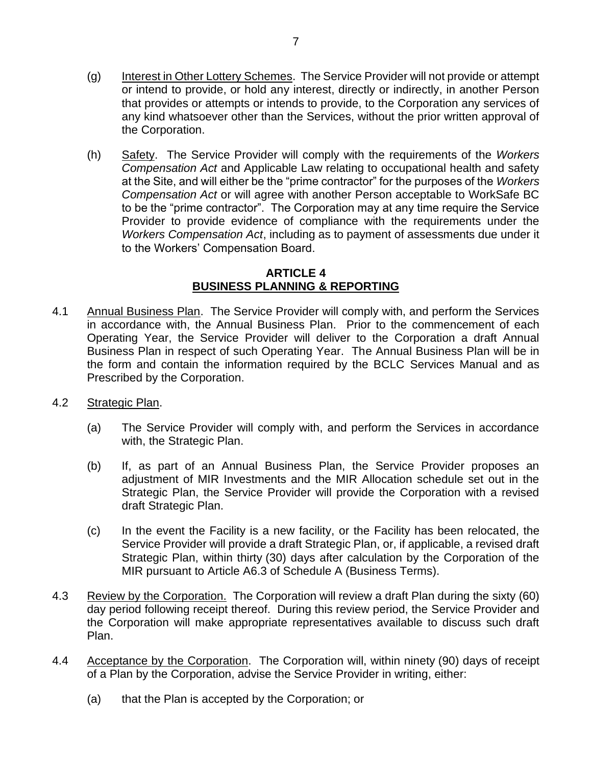- (g) Interest in Other Lottery Schemes. The Service Provider will not provide or attempt or intend to provide, or hold any interest, directly or indirectly, in another Person that provides or attempts or intends to provide, to the Corporation any services of any kind whatsoever other than the Services, without the prior written approval of the Corporation.
- (h) Safety. The Service Provider will comply with the requirements of the *Workers Compensation Act* and Applicable Law relating to occupational health and safety at the Site, and will either be the "prime contractor" for the purposes of the *Workers Compensation Act* or will agree with another Person acceptable to WorkSafe BC to be the "prime contractor". The Corporation may at any time require the Service Provider to provide evidence of compliance with the requirements under the *Workers Compensation Act*, including as to payment of assessments due under it to the Workers' Compensation Board.

## **ARTICLE 4 BUSINESS PLANNING & REPORTING**

- <span id="page-8-0"></span>4.1 Annual Business Plan. The Service Provider will comply with, and perform the Services in accordance with, the Annual Business Plan. Prior to the commencement of each Operating Year, the Service Provider will deliver to the Corporation a draft Annual Business Plan in respect of such Operating Year. The Annual Business Plan will be in the form and contain the information required by the BCLC Services Manual and as Prescribed by the Corporation.
- 4.2 Strategic Plan.
	- (a) The Service Provider will comply with, and perform the Services in accordance with, the Strategic Plan.
	- (b) If, as part of an Annual Business Plan, the Service Provider proposes an adjustment of MIR Investments and the MIR Allocation schedule set out in the Strategic Plan, the Service Provider will provide the Corporation with a revised draft Strategic Plan.
	- (c) In the event the Facility is a new facility, or the Facility has been relocated, the Service Provider will provide a draft Strategic Plan, or, if applicable, a revised draft Strategic Plan, within thirty (30) days after calculation by the Corporation of the MIR pursuant to Article [A6.3](#page--1-3) of Schedule A (Business Terms).
- <span id="page-8-1"></span>4.3 Review by the Corporation. The Corporation will review a draft Plan during the sixty (60) day period following receipt thereof. During this review period, the Service Provider and the Corporation will make appropriate representatives available to discuss such draft Plan.
- <span id="page-8-2"></span>4.4 Acceptance by the Corporation. The Corporation will, within ninety (90) days of receipt of a Plan by the Corporation, advise the Service Provider in writing, either:
	- (a) that the Plan is accepted by the Corporation; or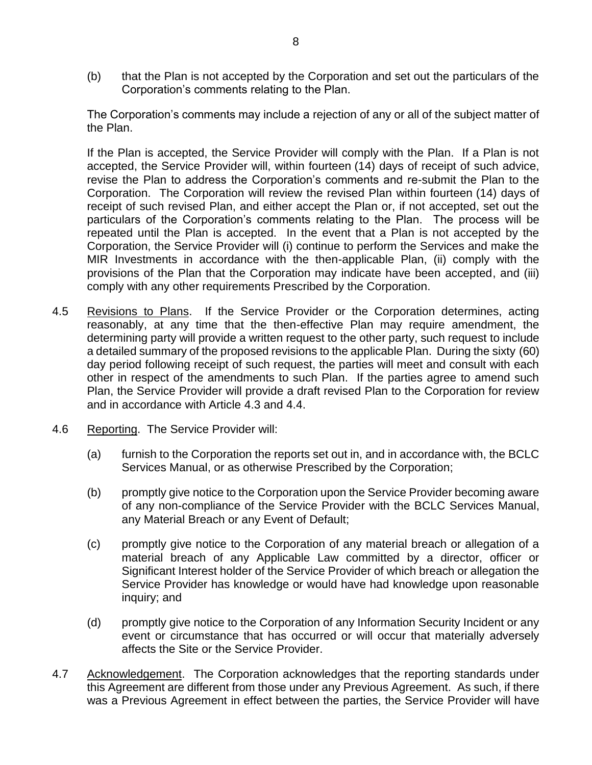(b) that the Plan is not accepted by the Corporation and set out the particulars of the Corporation's comments relating to the Plan.

The Corporation's comments may include a rejection of any or all of the subject matter of the Plan.

If the Plan is accepted, the Service Provider will comply with the Plan. If a Plan is not accepted, the Service Provider will, within fourteen (14) days of receipt of such advice, revise the Plan to address the Corporation's comments and re-submit the Plan to the Corporation. The Corporation will review the revised Plan within fourteen (14) days of receipt of such revised Plan, and either accept the Plan or, if not accepted, set out the particulars of the Corporation's comments relating to the Plan. The process will be repeated until the Plan is accepted. In the event that a Plan is not accepted by the Corporation, the Service Provider will (i) continue to perform the Services and make the MIR Investments in accordance with the then-applicable Plan, (ii) comply with the provisions of the Plan that the Corporation may indicate have been accepted, and (iii) comply with any other requirements Prescribed by the Corporation.

- 4.5 Revisions to Plans. If the Service Provider or the Corporation determines, acting reasonably, at any time that the then-effective Plan may require amendment, the determining party will provide a written request to the other party, such request to include a detailed summary of the proposed revisions to the applicable Plan. During the sixty (60) day period following receipt of such request, the parties will meet and consult with each other in respect of the amendments to such Plan. If the parties agree to amend such Plan, the Service Provider will provide a draft revised Plan to the Corporation for review and in accordance with Article [4.3](#page-8-1) and [4.4.](#page-8-2)
- 4.6 Reporting. The Service Provider will:
	- (a) furnish to the Corporation the reports set out in, and in accordance with, the BCLC Services Manual, or as otherwise Prescribed by the Corporation;
	- (b) promptly give notice to the Corporation upon the Service Provider becoming aware of any non-compliance of the Service Provider with the BCLC Services Manual, any Material Breach or any Event of Default;
	- (c) promptly give notice to the Corporation of any material breach or allegation of a material breach of any Applicable Law committed by a director, officer or Significant Interest holder of the Service Provider of which breach or allegation the Service Provider has knowledge or would have had knowledge upon reasonable inquiry; and
	- (d) promptly give notice to the Corporation of any Information Security Incident or any event or circumstance that has occurred or will occur that materially adversely affects the Site or the Service Provider.
- 4.7 Acknowledgement. The Corporation acknowledges that the reporting standards under this Agreement are different from those under any Previous Agreement. As such, if there was a Previous Agreement in effect between the parties, the Service Provider will have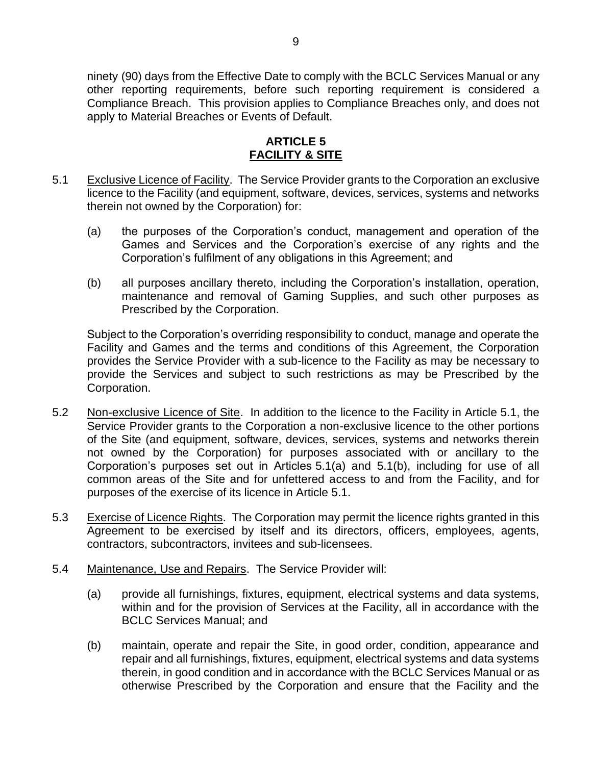ninety (90) days from the Effective Date to comply with the BCLC Services Manual or any other reporting requirements, before such reporting requirement is considered a Compliance Breach. This provision applies to Compliance Breaches only, and does not apply to Material Breaches or Events of Default.

## **ARTICLE 5 FACILITY & SITE**

- <span id="page-10-2"></span><span id="page-10-1"></span><span id="page-10-0"></span>5.1 Exclusive Licence of Facility. The Service Provider grants to the Corporation an exclusive licence to the Facility (and equipment, software, devices, services, systems and networks therein not owned by the Corporation) for:
	- (a) the purposes of the Corporation's conduct, management and operation of the Games and Services and the Corporation's exercise of any rights and the Corporation's fulfilment of any obligations in this Agreement; and
	- (b) all purposes ancillary thereto, including the Corporation's installation, operation, maintenance and removal of Gaming Supplies, and such other purposes as Prescribed by the Corporation.

<span id="page-10-3"></span>Subject to the Corporation's overriding responsibility to conduct, manage and operate the Facility and Games and the terms and conditions of this Agreement, the Corporation provides the Service Provider with a sub-licence to the Facility as may be necessary to provide the Services and subject to such restrictions as may be Prescribed by the Corporation.

- 5.2 Non-exclusive Licence of Site. In addition to the licence to the Facility in Article [5.1,](#page-10-1) the Service Provider grants to the Corporation a non-exclusive licence to the other portions of the Site (and equipment, software, devices, services, systems and networks therein not owned by the Corporation) for purposes associated with or ancillary to the Corporation's purposes set out in Articles [5.1\(a\)](#page-10-2) and [5.1\(b\),](#page-10-3) including for use of all common areas of the Site and for unfettered access to and from the Facility, and for purposes of the exercise of its licence in Article [5.1.](#page-10-1)
- 5.3 Exercise of Licence Rights. The Corporation may permit the licence rights granted in this Agreement to be exercised by itself and its directors, officers, employees, agents, contractors, subcontractors, invitees and sub-licensees.
- 5.4 Maintenance, Use and Repairs. The Service Provider will:
	- (a) provide all furnishings, fixtures, equipment, electrical systems and data systems, within and for the provision of Services at the Facility, all in accordance with the BCLC Services Manual; and
	- (b) maintain, operate and repair the Site, in good order, condition, appearance and repair and all furnishings, fixtures, equipment, electrical systems and data systems therein, in good condition and in accordance with the BCLC Services Manual or as otherwise Prescribed by the Corporation and ensure that the Facility and the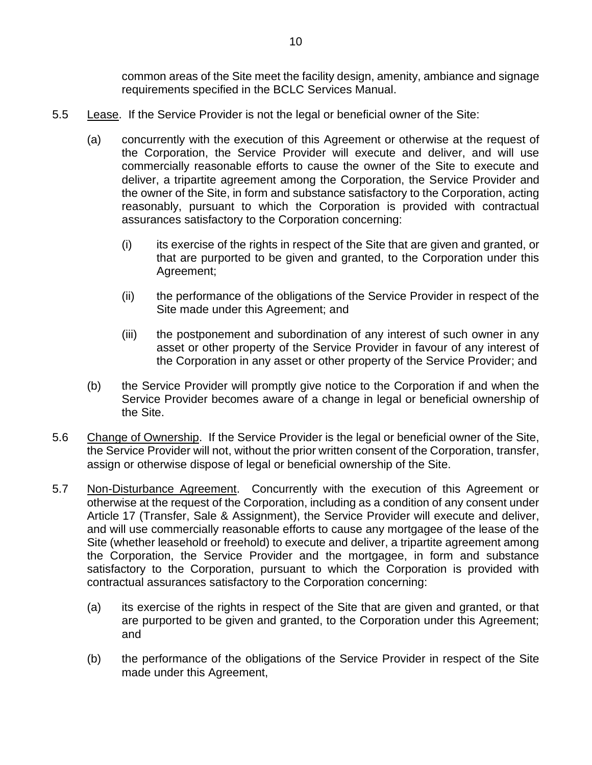common areas of the Site meet the facility design, amenity, ambiance and signage requirements specified in the BCLC Services Manual.

- 5.5 Lease. If the Service Provider is not the legal or beneficial owner of the Site:
	- (a) concurrently with the execution of this Agreement or otherwise at the request of the Corporation, the Service Provider will execute and deliver, and will use commercially reasonable efforts to cause the owner of the Site to execute and deliver, a tripartite agreement among the Corporation, the Service Provider and the owner of the Site, in form and substance satisfactory to the Corporation, acting reasonably, pursuant to which the Corporation is provided with contractual assurances satisfactory to the Corporation concerning:
		- $(i)$  its exercise of the rights in respect of the Site that are given and granted, or that are purported to be given and granted, to the Corporation under this Agreement;
		- (ii) the performance of the obligations of the Service Provider in respect of the Site made under this Agreement; and
		- (iii) the postponement and subordination of any interest of such owner in any asset or other property of the Service Provider in favour of any interest of the Corporation in any asset or other property of the Service Provider; and
	- (b) the Service Provider will promptly give notice to the Corporation if and when the Service Provider becomes aware of a change in legal or beneficial ownership of the Site.
- 5.6 Change of Ownership. If the Service Provider is the legal or beneficial owner of the Site, the Service Provider will not, without the prior written consent of the Corporation, transfer, assign or otherwise dispose of legal or beneficial ownership of the Site.
- 5.7 Non-Disturbance Agreement. Concurrently with the execution of this Agreement or otherwise at the request of the Corporation, including as a condition of any consent under [Article](#page-28-0) 17 [\(Transfer, Sale & Assignment\)](#page-28-0), the Service Provider will execute and deliver, and will use commercially reasonable efforts to cause any mortgagee of the lease of the Site (whether leasehold or freehold) to execute and deliver, a tripartite agreement among the Corporation, the Service Provider and the mortgagee, in form and substance satisfactory to the Corporation, pursuant to which the Corporation is provided with contractual assurances satisfactory to the Corporation concerning:
	- (a) its exercise of the rights in respect of the Site that are given and granted, or that are purported to be given and granted, to the Corporation under this Agreement; and
	- (b) the performance of the obligations of the Service Provider in respect of the Site made under this Agreement,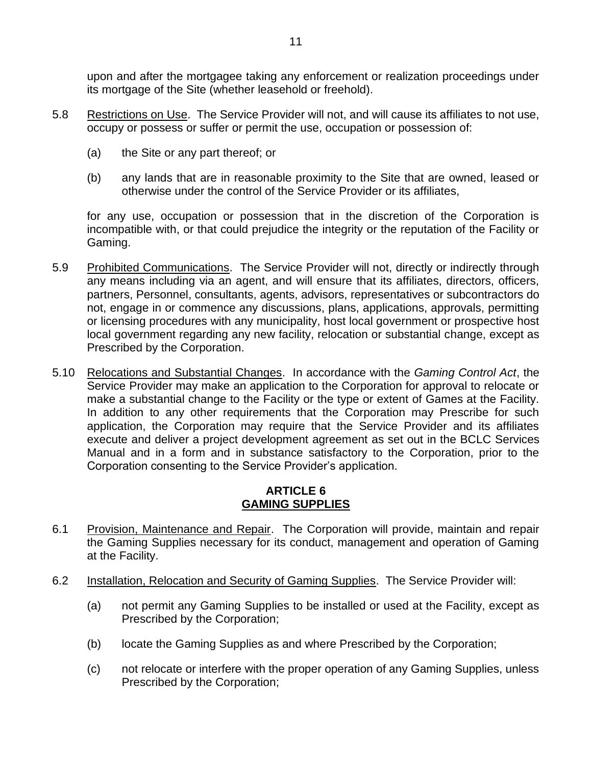upon and after the mortgagee taking any enforcement or realization proceedings under its mortgage of the Site (whether leasehold or freehold).

- 5.8 Restrictions on Use. The Service Provider will not, and will cause its affiliates to not use, occupy or possess or suffer or permit the use, occupation or possession of:
	- (a) the Site or any part thereof; or
	- (b) any lands that are in reasonable proximity to the Site that are owned, leased or otherwise under the control of the Service Provider or its affiliates,

for any use, occupation or possession that in the discretion of the Corporation is incompatible with, or that could prejudice the integrity or the reputation of the Facility or Gaming.

- 5.9 Prohibited Communications. The Service Provider will not, directly or indirectly through any means including via an agent, and will ensure that its affiliates, directors, officers, partners, Personnel, consultants, agents, advisors, representatives or subcontractors do not, engage in or commence any discussions, plans, applications, approvals, permitting or licensing procedures with any municipality, host local government or prospective host local government regarding any new facility, relocation or substantial change, except as Prescribed by the Corporation.
- 5.10 Relocations and Substantial Changes. In accordance with the *Gaming Control Act*, the Service Provider may make an application to the Corporation for approval to relocate or make a substantial change to the Facility or the type or extent of Games at the Facility. In addition to any other requirements that the Corporation may Prescribe for such application, the Corporation may require that the Service Provider and its affiliates execute and deliver a project development agreement as set out in the BCLC Services Manual and in a form and in substance satisfactory to the Corporation, prior to the Corporation consenting to the Service Provider's application.

## **ARTICLE 6 GAMING SUPPLIES**

- <span id="page-12-0"></span>6.1 Provision, Maintenance and Repair. The Corporation will provide, maintain and repair the Gaming Supplies necessary for its conduct, management and operation of Gaming at the Facility.
- 6.2 Installation, Relocation and Security of Gaming Supplies. The Service Provider will:
	- (a) not permit any Gaming Supplies to be installed or used at the Facility, except as Prescribed by the Corporation;
	- (b) locate the Gaming Supplies as and where Prescribed by the Corporation;
	- (c) not relocate or interfere with the proper operation of any Gaming Supplies, unless Prescribed by the Corporation;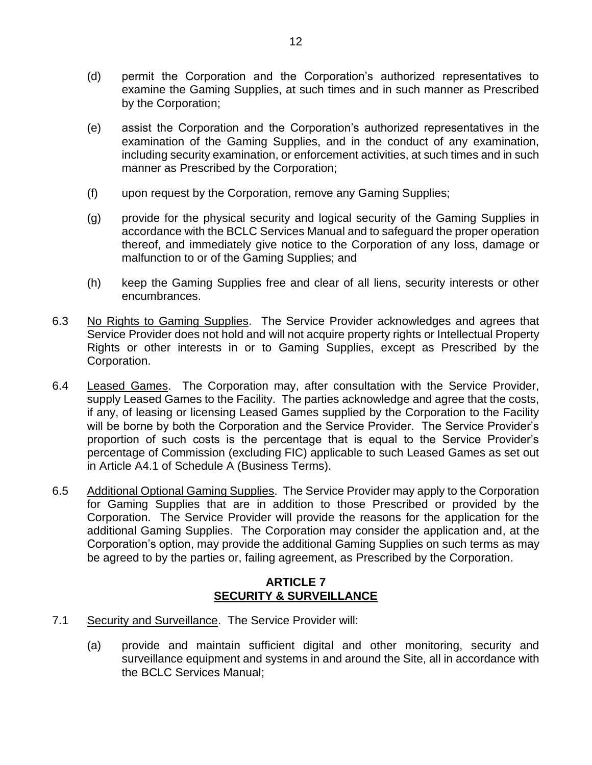- (d) permit the Corporation and the Corporation's authorized representatives to examine the Gaming Supplies, at such times and in such manner as Prescribed by the Corporation;
- (e) assist the Corporation and the Corporation's authorized representatives in the examination of the Gaming Supplies, and in the conduct of any examination, including security examination, or enforcement activities, at such times and in such manner as Prescribed by the Corporation;
- (f) upon request by the Corporation, remove any Gaming Supplies;
- (g) provide for the physical security and logical security of the Gaming Supplies in accordance with the BCLC Services Manual and to safeguard the proper operation thereof, and immediately give notice to the Corporation of any loss, damage or malfunction to or of the Gaming Supplies; and
- (h) keep the Gaming Supplies free and clear of all liens, security interests or other encumbrances.
- <span id="page-13-3"></span>6.3 No Rights to Gaming Supplies. The Service Provider acknowledges and agrees that Service Provider does not hold and will not acquire property rights or Intellectual Property Rights or other interests in or to Gaming Supplies, except as Prescribed by the Corporation.
- <span id="page-13-1"></span>6.4 Leased Games. The Corporation may, after consultation with the Service Provider, supply Leased Games to the Facility. The parties acknowledge and agree that the costs, if any, of leasing or licensing Leased Games supplied by the Corporation to the Facility will be borne by both the Corporation and the Service Provider. The Service Provider's proportion of such costs is the percentage that is equal to the Service Provider's percentage of Commission (excluding FIC) applicable to such Leased Games as set out in Article [A4.1](#page--1-4) of [Schedule](#page--1-0) A [\(Business Terms\)](#page--1-0).
- <span id="page-13-2"></span>6.5 Additional Optional Gaming Supplies. The Service Provider may apply to the Corporation for Gaming Supplies that are in addition to those Prescribed or provided by the Corporation. The Service Provider will provide the reasons for the application for the additional Gaming Supplies. The Corporation may consider the application and, at the Corporation's option, may provide the additional Gaming Supplies on such terms as may be agreed to by the parties or, failing agreement, as Prescribed by the Corporation.

## **ARTICLE 7 SECURITY & SURVEILLANCE**

- <span id="page-13-0"></span>7.1 Security and Surveillance. The Service Provider will:
	- (a) provide and maintain sufficient digital and other monitoring, security and surveillance equipment and systems in and around the Site, all in accordance with the BCLC Services Manual;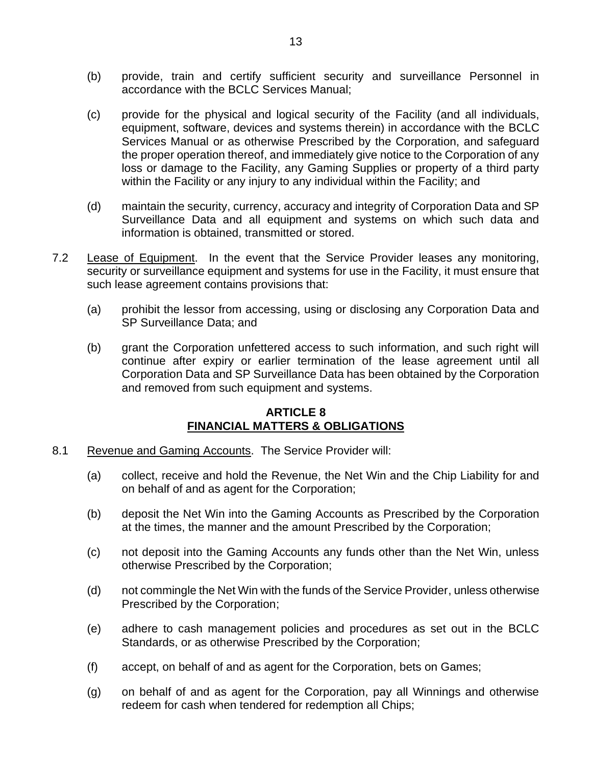- (b) provide, train and certify sufficient security and surveillance Personnel in accordance with the BCLC Services Manual;
- (c) provide for the physical and logical security of the Facility (and all individuals, equipment, software, devices and systems therein) in accordance with the BCLC Services Manual or as otherwise Prescribed by the Corporation, and safeguard the proper operation thereof, and immediately give notice to the Corporation of any loss or damage to the Facility, any Gaming Supplies or property of a third party within the Facility or any injury to any individual within the Facility; and
- (d) maintain the security, currency, accuracy and integrity of Corporation Data and SP Surveillance Data and all equipment and systems on which such data and information is obtained, transmitted or stored.
- 7.2 Lease of Equipment. In the event that the Service Provider leases any monitoring, security or surveillance equipment and systems for use in the Facility, it must ensure that such lease agreement contains provisions that:
	- (a) prohibit the lessor from accessing, using or disclosing any Corporation Data and SP Surveillance Data; and
	- (b) grant the Corporation unfettered access to such information, and such right will continue after expiry or earlier termination of the lease agreement until all Corporation Data and SP Surveillance Data has been obtained by the Corporation and removed from such equipment and systems.

## **ARTICLE 8 FINANCIAL MATTERS & OBLIGATIONS**

- <span id="page-14-0"></span>8.1 Revenue and Gaming Accounts. The Service Provider will:
	- (a) collect, receive and hold the Revenue, the Net Win and the Chip Liability for and on behalf of and as agent for the Corporation;
	- (b) deposit the Net Win into the Gaming Accounts as Prescribed by the Corporation at the times, the manner and the amount Prescribed by the Corporation;
	- (c) not deposit into the Gaming Accounts any funds other than the Net Win, unless otherwise Prescribed by the Corporation;
	- (d) not commingle the Net Win with the funds of the Service Provider, unless otherwise Prescribed by the Corporation;
	- (e) adhere to cash management policies and procedures as set out in the BCLC Standards, or as otherwise Prescribed by the Corporation;
	- (f) accept, on behalf of and as agent for the Corporation, bets on Games;
	- (g) on behalf of and as agent for the Corporation, pay all Winnings and otherwise redeem for cash when tendered for redemption all Chips;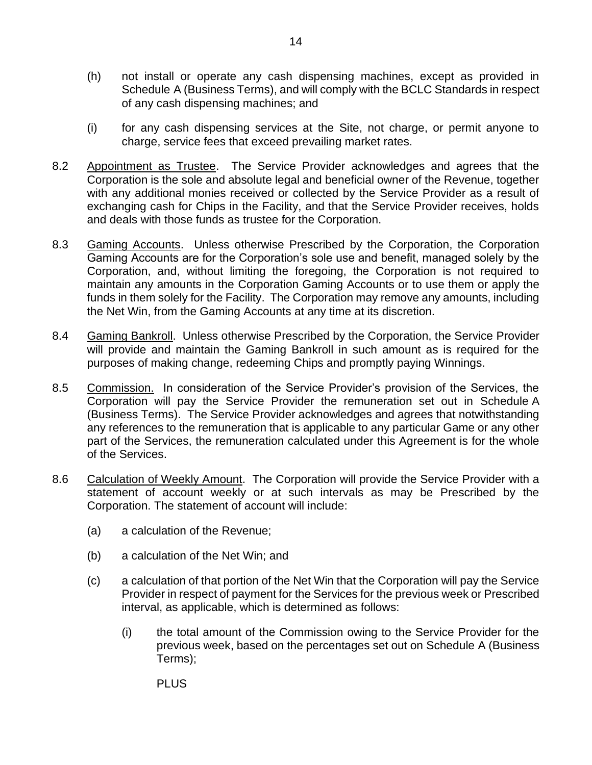- (h) not install or operate any cash dispensing machines, except as provided in [Schedule](#page--1-0) A [\(Business Terms\)](#page--1-0), and will comply with the BCLC Standards in respect of any cash dispensing machines; and
- (i) for any cash dispensing services at the Site, not charge, or permit anyone to charge, service fees that exceed prevailing market rates.
- 8.2 Appointment as Trustee. The Service Provider acknowledges and agrees that the Corporation is the sole and absolute legal and beneficial owner of the Revenue, together with any additional monies received or collected by the Service Provider as a result of exchanging cash for Chips in the Facility, and that the Service Provider receives, holds and deals with those funds as trustee for the Corporation.
- 8.3 Gaming Accounts. Unless otherwise Prescribed by the Corporation, the Corporation Gaming Accounts are for the Corporation's sole use and benefit, managed solely by the Corporation, and, without limiting the foregoing, the Corporation is not required to maintain any amounts in the Corporation Gaming Accounts or to use them or apply the funds in them solely for the Facility. The Corporation may remove any amounts, including the Net Win, from the Gaming Accounts at any time at its discretion.
- 8.4 Gaming Bankroll. Unless otherwise Prescribed by the Corporation, the Service Provider will provide and maintain the Gaming Bankroll in such amount as is required for the purposes of making change, redeeming Chips and promptly paying Winnings.
- 8.5 Commission. In consideration of the Service Provider's provision of the Services, the Corporation will pay the Service Provider the remuneration set out in [Schedule](#page--1-0) A [\(Business Terms\)](#page--1-0). The Service Provider acknowledges and agrees that notwithstanding any references to the remuneration that is applicable to any particular Game or any other part of the Services, the remuneration calculated under this Agreement is for the whole of the Services.
- <span id="page-15-0"></span>8.6 Calculation of Weekly Amount. The Corporation will provide the Service Provider with a statement of account weekly or at such intervals as may be Prescribed by the Corporation. The statement of account will include:
	- (a) a calculation of the Revenue;
	- (b) a calculation of the Net Win; and
	- (c) a calculation of that portion of the Net Win that the Corporation will pay the Service Provider in respect of payment for the Services for the previous week or Prescribed interval, as applicable, which is determined as follows:
		- (i) the total amount of the Commission owing to the Service Provider for the previous week, based on the percentages set out on [Schedule](#page--1-0) A [\(Business](#page--1-0)  [Terms\)](#page--1-0);

PLUS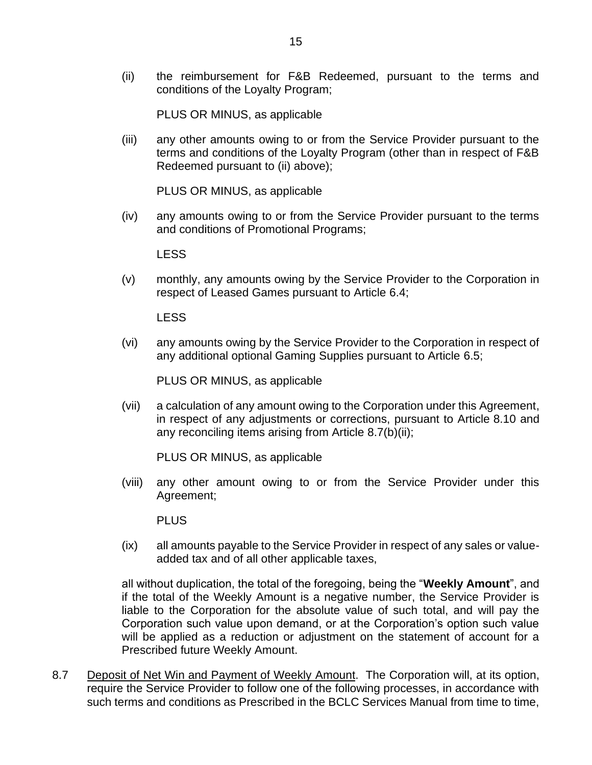PLUS OR MINUS, as applicable

<span id="page-16-0"></span>(iii) any other amounts owing to or from the Service Provider pursuant to the terms and conditions of the Loyalty Program (other than in respect of F&B Redeemed pursuant to [\(ii\)](#page-16-0) above);

PLUS OR MINUS, as applicable

(iv) any amounts owing to or from the Service Provider pursuant to the terms and conditions of Promotional Programs;

LESS

(v) monthly, any amounts owing by the Service Provider to the Corporation in respect of Leased Games pursuant to Article [6.4;](#page-13-1)

LESS

(vi) any amounts owing by the Service Provider to the Corporation in respect of any additional optional Gaming Supplies pursuant to Article [6.5;](#page-13-2)

PLUS OR MINUS, as applicable

(vii) a calculation of any amount owing to the Corporation under this Agreement, in respect of any adjustments or corrections, pursuant to Article [8.10](#page-18-1) and any reconciling items arising from Article [8.7\(b\)\(ii\);](#page-17-0)

PLUS OR MINUS, as applicable

(viii) any other amount owing to or from the Service Provider under this Agreement;

PLUS

(ix) all amounts payable to the Service Provider in respect of any sales or valueadded tax and of all other applicable taxes,

all without duplication, the total of the foregoing, being the "**Weekly Amount**", and if the total of the Weekly Amount is a negative number, the Service Provider is liable to the Corporation for the absolute value of such total, and will pay the Corporation such value upon demand, or at the Corporation's option such value will be applied as a reduction or adjustment on the statement of account for a Prescribed future Weekly Amount.

<span id="page-16-1"></span>8.7 Deposit of Net Win and Payment of Weekly Amount. The Corporation will, at its option, require the Service Provider to follow one of the following processes, in accordance with such terms and conditions as Prescribed in the BCLC Services Manual from time to time,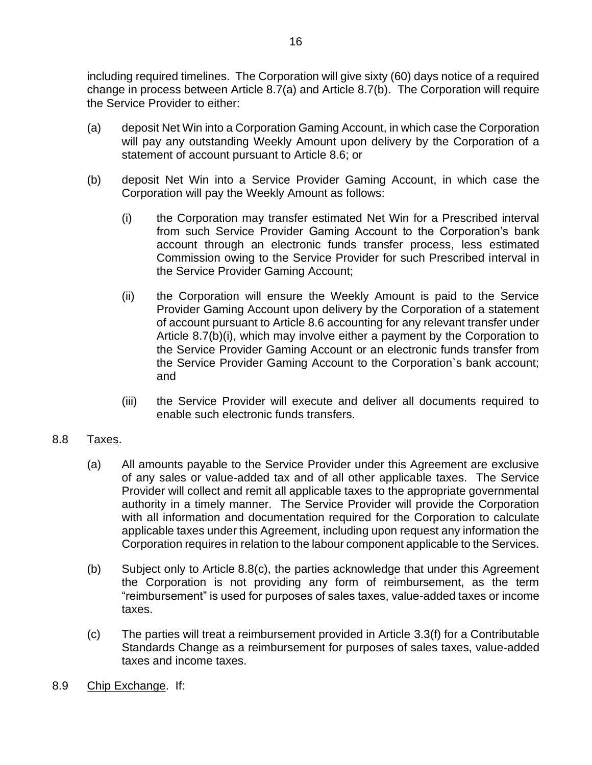including required timelines. The Corporation will give sixty (60) days notice of a required change in process between Article [8.7](#page-16-1)[\(a\)](#page-17-1) and Article [8.7](#page-16-1)[\(b\).](#page-17-2) The Corporation will require the Service Provider to either:

- <span id="page-17-1"></span>(a) deposit Net Win into a Corporation Gaming Account, in which case the Corporation will pay any outstanding Weekly Amount upon delivery by the Corporation of a statement of account pursuant to Article [8.6;](#page-15-0) or
- <span id="page-17-3"></span><span id="page-17-2"></span><span id="page-17-0"></span>(b) deposit Net Win into a Service Provider Gaming Account, in which case the Corporation will pay the Weekly Amount as follows:
	- (i) the Corporation may transfer estimated Net Win for a Prescribed interval from such Service Provider Gaming Account to the Corporation's bank account through an electronic funds transfer process, less estimated Commission owing to the Service Provider for such Prescribed interval in the Service Provider Gaming Account;
	- (ii) the Corporation will ensure the Weekly Amount is paid to the Service Provider Gaming Account upon delivery by the Corporation of a statement of account pursuant to Article [8.6](#page-15-0) accounting for any relevant transfer under Article [8.7](#page-16-1)[\(b\)](#page-17-2)[\(i\),](#page-17-3) which may involve either a payment by the Corporation to the Service Provider Gaming Account or an electronic funds transfer from the Service Provider Gaming Account to the Corporation`s bank account; and
	- (iii) the Service Provider will execute and deliver all documents required to enable such electronic funds transfers.

## 8.8 Taxes.

- (a) All amounts payable to the Service Provider under this Agreement are exclusive of any sales or value-added tax and of all other applicable taxes. The Service Provider will collect and remit all applicable taxes to the appropriate governmental authority in a timely manner. The Service Provider will provide the Corporation with all information and documentation required for the Corporation to calculate applicable taxes under this Agreement, including upon request any information the Corporation requires in relation to the labour component applicable to the Services.
- (b) Subject only to Article [8.8\(c\),](#page-17-4) the parties acknowledge that under this Agreement the Corporation is not providing any form of reimbursement, as the term "reimbursement" is used for purposes of sales taxes, value-added taxes or income taxes.
- <span id="page-17-4"></span>(c) The parties will treat a reimbursement provided in Article [3.3\(f\)](#page-6-0) for a Contributable Standards Change as a reimbursement for purposes of sales taxes, value-added taxes and income taxes.
- 8.9 Chip Exchange. If: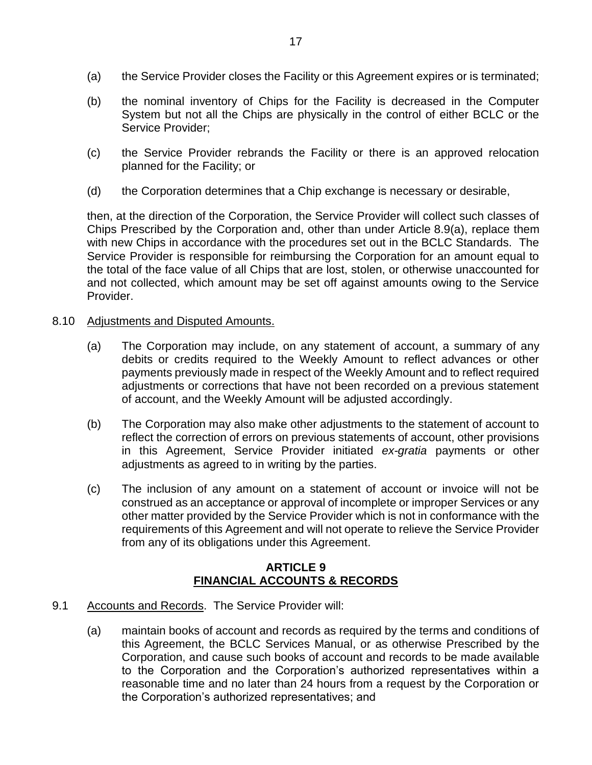- <span id="page-18-2"></span>(a) the Service Provider closes the Facility or this Agreement expires or is terminated;
- (b) the nominal inventory of Chips for the Facility is decreased in the Computer System but not all the Chips are physically in the control of either BCLC or the Service Provider;
- (c) the Service Provider rebrands the Facility or there is an approved relocation planned for the Facility; or
- (d) the Corporation determines that a Chip exchange is necessary or desirable,

then, at the direction of the Corporation, the Service Provider will collect such classes of Chips Prescribed by the Corporation and, other than under Article [8.9\(a\),](#page-18-2) replace them with new Chips in accordance with the procedures set out in the BCLC Standards. The Service Provider is responsible for reimbursing the Corporation for an amount equal to the total of the face value of all Chips that are lost, stolen, or otherwise unaccounted for and not collected, which amount may be set off against amounts owing to the Service Provider.

#### <span id="page-18-1"></span>8.10 Adjustments and Disputed Amounts.

- (a) The Corporation may include, on any statement of account, a summary of any debits or credits required to the Weekly Amount to reflect advances or other payments previously made in respect of the Weekly Amount and to reflect required adjustments or corrections that have not been recorded on a previous statement of account, and the Weekly Amount will be adjusted accordingly.
- (b) The Corporation may also make other adjustments to the statement of account to reflect the correction of errors on previous statements of account, other provisions in this Agreement, Service Provider initiated *ex-gratia* payments or other adjustments as agreed to in writing by the parties.
- (c) The inclusion of any amount on a statement of account or invoice will not be construed as an acceptance or approval of incomplete or improper Services or any other matter provided by the Service Provider which is not in conformance with the requirements of this Agreement and will not operate to relieve the Service Provider from any of its obligations under this Agreement.

## **ARTICLE 9 FINANCIAL ACCOUNTS & RECORDS**

- <span id="page-18-3"></span><span id="page-18-0"></span>9.1 Accounts and Records. The Service Provider will:
	- (a) maintain books of account and records as required by the terms and conditions of this Agreement, the BCLC Services Manual, or as otherwise Prescribed by the Corporation, and cause such books of account and records to be made available to the Corporation and the Corporation's authorized representatives within a reasonable time and no later than 24 hours from a request by the Corporation or the Corporation's authorized representatives; and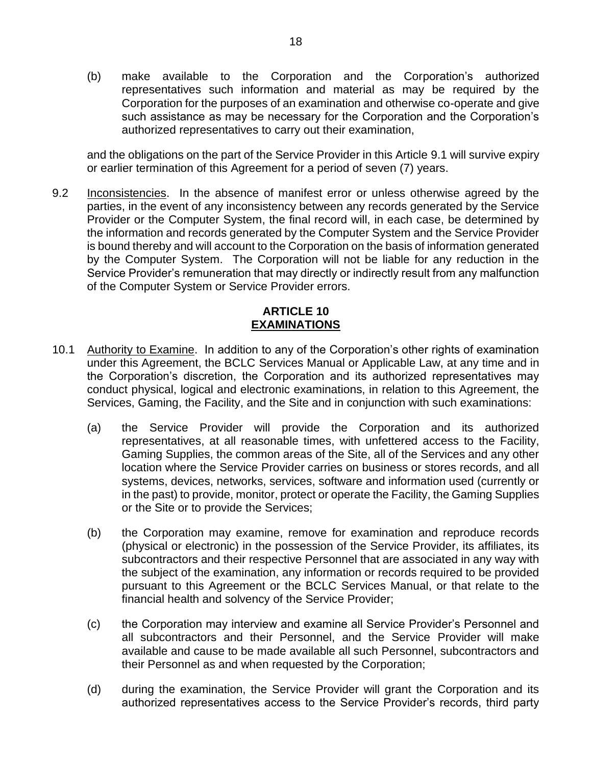(b) make available to the Corporation and the Corporation's authorized representatives such information and material as may be required by the Corporation for the purposes of an examination and otherwise co-operate and give such assistance as may be necessary for the Corporation and the Corporation's authorized representatives to carry out their examination,

and the obligations on the part of the Service Provider in this Article [9.1](#page-18-3) will survive expiry or earlier termination of this Agreement for a period of seven (7) years.

9.2 Inconsistencies. In the absence of manifest error or unless otherwise agreed by the parties, in the event of any inconsistency between any records generated by the Service Provider or the Computer System, the final record will, in each case, be determined by the information and records generated by the Computer System and the Service Provider is bound thereby and will account to the Corporation on the basis of information generated by the Computer System. The Corporation will not be liable for any reduction in the Service Provider's remuneration that may directly or indirectly result from any malfunction of the Computer System or Service Provider errors.

## **ARTICLE 10 EXAMINATIONS**

- <span id="page-19-1"></span><span id="page-19-0"></span>10.1 Authority to Examine. In addition to any of the Corporation's other rights of examination under this Agreement, the BCLC Services Manual or Applicable Law, at any time and in the Corporation's discretion, the Corporation and its authorized representatives may conduct physical, logical and electronic examinations, in relation to this Agreement, the Services, Gaming, the Facility, and the Site and in conjunction with such examinations:
	- (a) the Service Provider will provide the Corporation and its authorized representatives, at all reasonable times, with unfettered access to the Facility, Gaming Supplies, the common areas of the Site, all of the Services and any other location where the Service Provider carries on business or stores records, and all systems, devices, networks, services, software and information used (currently or in the past) to provide, monitor, protect or operate the Facility, the Gaming Supplies or the Site or to provide the Services;
	- (b) the Corporation may examine, remove for examination and reproduce records (physical or electronic) in the possession of the Service Provider, its affiliates, its subcontractors and their respective Personnel that are associated in any way with the subject of the examination, any information or records required to be provided pursuant to this Agreement or the BCLC Services Manual, or that relate to the financial health and solvency of the Service Provider;
	- (c) the Corporation may interview and examine all Service Provider's Personnel and all subcontractors and their Personnel, and the Service Provider will make available and cause to be made available all such Personnel, subcontractors and their Personnel as and when requested by the Corporation;
	- (d) during the examination, the Service Provider will grant the Corporation and its authorized representatives access to the Service Provider's records, third party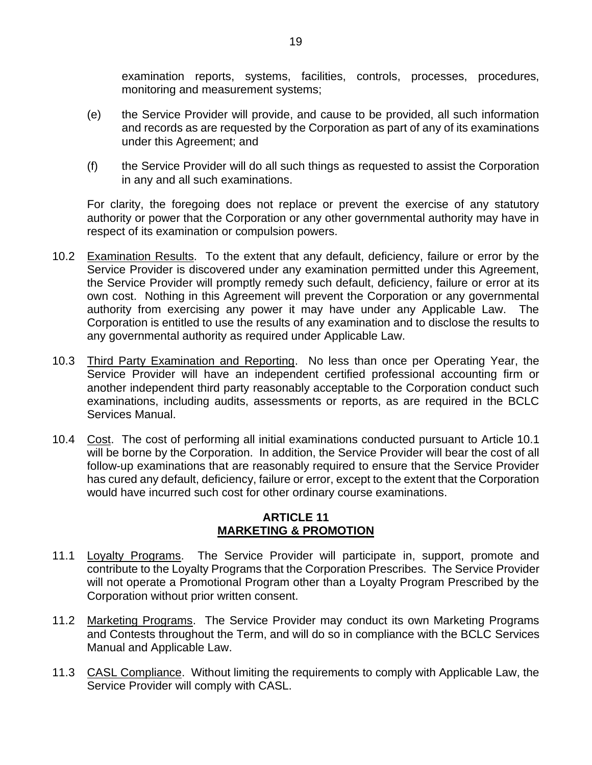examination reports, systems, facilities, controls, processes, procedures, monitoring and measurement systems;

- (e) the Service Provider will provide, and cause to be provided, all such information and records as are requested by the Corporation as part of any of its examinations under this Agreement; and
- (f) the Service Provider will do all such things as requested to assist the Corporation in any and all such examinations.

For clarity, the foregoing does not replace or prevent the exercise of any statutory authority or power that the Corporation or any other governmental authority may have in respect of its examination or compulsion powers.

- 10.2 Examination Results. To the extent that any default, deficiency, failure or error by the Service Provider is discovered under any examination permitted under this Agreement, the Service Provider will promptly remedy such default, deficiency, failure or error at its own cost. Nothing in this Agreement will prevent the Corporation or any governmental authority from exercising any power it may have under any Applicable Law. The Corporation is entitled to use the results of any examination and to disclose the results to any governmental authority as required under Applicable Law.
- 10.3 Third Party Examination and Reporting. No less than once per Operating Year, the Service Provider will have an independent certified professional accounting firm or another independent third party reasonably acceptable to the Corporation conduct such examinations, including audits, assessments or reports, as are required in the BCLC Services Manual.
- 10.4 Cost. The cost of performing all initial examinations conducted pursuant to Article [10.1](#page-19-1) will be borne by the Corporation. In addition, the Service Provider will bear the cost of all follow-up examinations that are reasonably required to ensure that the Service Provider has cured any default, deficiency, failure or error, except to the extent that the Corporation would have incurred such cost for other ordinary course examinations.

## **ARTICLE 11 MARKETING & PROMOTION**

- <span id="page-20-0"></span>11.1 Loyalty Programs. The Service Provider will participate in, support, promote and contribute to the Loyalty Programs that the Corporation Prescribes. The Service Provider will not operate a Promotional Program other than a Loyalty Program Prescribed by the Corporation without prior written consent.
- 11.2 Marketing Programs. The Service Provider may conduct its own Marketing Programs and Contests throughout the Term, and will do so in compliance with the BCLC Services Manual and Applicable Law.
- 11.3 CASL Compliance. Without limiting the requirements to comply with Applicable Law, the Service Provider will comply with CASL.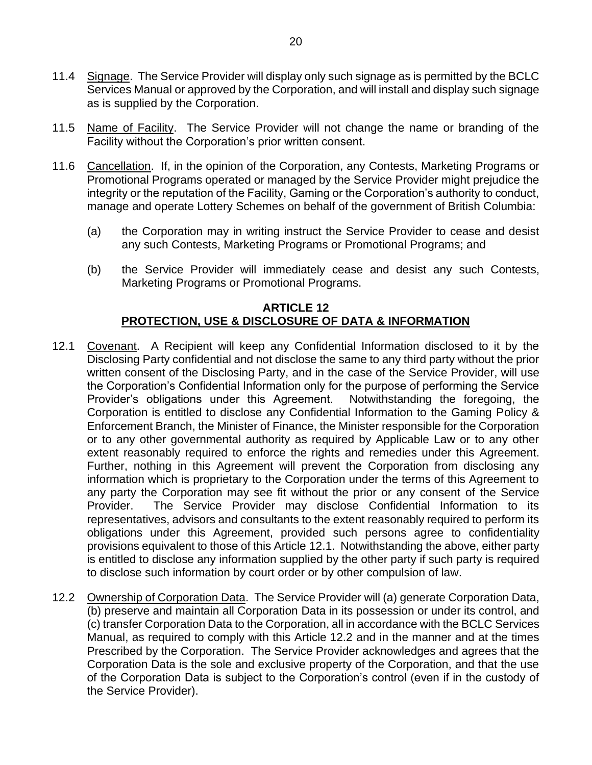- 11.4 Signage. The Service Provider will display only such signage as is permitted by the BCLC Services Manual or approved by the Corporation, and will install and display such signage as is supplied by the Corporation.
- 11.5 Name of Facility. The Service Provider will not change the name or branding of the Facility without the Corporation's prior written consent.
- 11.6 Cancellation. If, in the opinion of the Corporation, any Contests, Marketing Programs or Promotional Programs operated or managed by the Service Provider might prejudice the integrity or the reputation of the Facility, Gaming or the Corporation's authority to conduct, manage and operate Lottery Schemes on behalf of the government of British Columbia:
	- (a) the Corporation may in writing instruct the Service Provider to cease and desist any such Contests, Marketing Programs or Promotional Programs; and
	- (b) the Service Provider will immediately cease and desist any such Contests, Marketing Programs or Promotional Programs.

## **ARTICLE 12 PROTECTION, USE & DISCLOSURE OF DATA & INFORMATION**

- <span id="page-21-1"></span><span id="page-21-0"></span>12.1 Covenant. A Recipient will keep any Confidential Information disclosed to it by the Disclosing Party confidential and not disclose the same to any third party without the prior written consent of the Disclosing Party, and in the case of the Service Provider, will use the Corporation's Confidential Information only for the purpose of performing the Service Provider's obligations under this Agreement. Notwithstanding the foregoing, the Corporation is entitled to disclose any Confidential Information to the Gaming Policy & Enforcement Branch, the Minister of Finance, the Minister responsible for the Corporation or to any other governmental authority as required by Applicable Law or to any other extent reasonably required to enforce the rights and remedies under this Agreement. Further, nothing in this Agreement will prevent the Corporation from disclosing any information which is proprietary to the Corporation under the terms of this Agreement to any party the Corporation may see fit without the prior or any consent of the Service Provider. The Service Provider may disclose Confidential Information to its representatives, advisors and consultants to the extent reasonably required to perform its obligations under this Agreement, provided such persons agree to confidentiality provisions equivalent to those of this Article [12.1.](#page-21-1) Notwithstanding the above, either party is entitled to disclose any information supplied by the other party if such party is required to disclose such information by court order or by other compulsion of law.
- <span id="page-21-2"></span>12.2 Ownership of Corporation Data. The Service Provider will (a) generate Corporation Data, (b) preserve and maintain all Corporation Data in its possession or under its control, and (c) transfer Corporation Data to the Corporation, all in accordance with the BCLC Services Manual, as required to comply with this Article [12.2](#page-21-2) and in the manner and at the times Prescribed by the Corporation. The Service Provider acknowledges and agrees that the Corporation Data is the sole and exclusive property of the Corporation, and that the use of the Corporation Data is subject to the Corporation's control (even if in the custody of the Service Provider).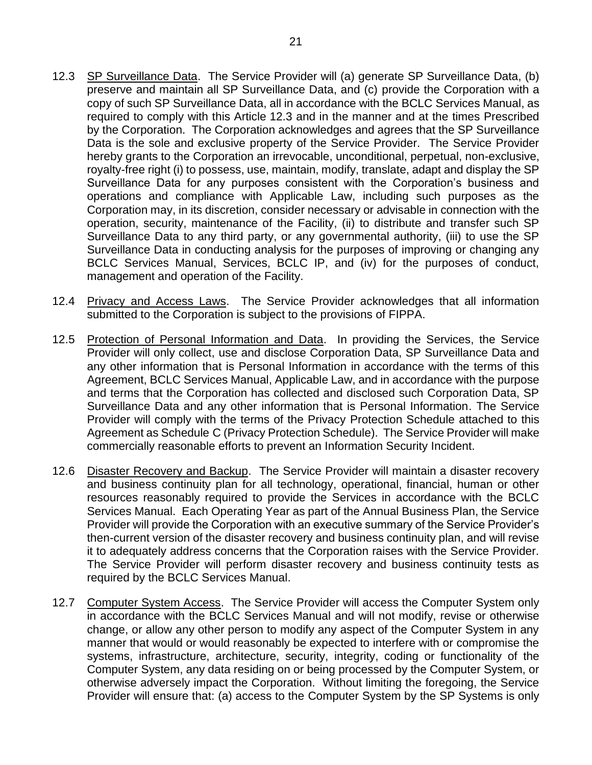- <span id="page-22-0"></span>12.3 SP Surveillance Data. The Service Provider will (a) generate SP Surveillance Data, (b) preserve and maintain all SP Surveillance Data, and (c) provide the Corporation with a copy of such SP Surveillance Data, all in accordance with the BCLC Services Manual, as required to comply with this Article [12.3](#page-22-0) and in the manner and at the times Prescribed by the Corporation. The Corporation acknowledges and agrees that the SP Surveillance Data is the sole and exclusive property of the Service Provider. The Service Provider hereby grants to the Corporation an irrevocable, unconditional, perpetual, non-exclusive, royalty-free right (i) to possess, use, maintain, modify, translate, adapt and display the SP Surveillance Data for any purposes consistent with the Corporation's business and operations and compliance with Applicable Law, including such purposes as the Corporation may, in its discretion, consider necessary or advisable in connection with the operation, security, maintenance of the Facility, (ii) to distribute and transfer such SP Surveillance Data to any third party, or any governmental authority, (iii) to use the SP Surveillance Data in conducting analysis for the purposes of improving or changing any BCLC Services Manual, Services, BCLC IP, and (iv) for the purposes of conduct, management and operation of the Facility.
- 12.4 Privacy and Access Laws. The Service Provider acknowledges that all information submitted to the Corporation is subject to the provisions of FIPPA.
- 12.5 Protection of Personal Information and Data. In providing the Services, the Service Provider will only collect, use and disclose Corporation Data, SP Surveillance Data and any other information that is Personal Information in accordance with the terms of this Agreement, BCLC Services Manual, Applicable Law, and in accordance with the purpose and terms that the Corporation has collected and disclosed such Corporation Data, SP Surveillance Data and any other information that is Personal Information. The Service Provider will comply with the terms of the Privacy Protection Schedule attached to this Agreement a[s Schedule](#page--1-1) C [\(Privacy Protection Schedule\)](#page--1-1). The Service Provider will make commercially reasonable efforts to prevent an Information Security Incident.
- 12.6 Disaster Recovery and Backup. The Service Provider will maintain a disaster recovery and business continuity plan for all technology, operational, financial, human or other resources reasonably required to provide the Services in accordance with the BCLC Services Manual. Each Operating Year as part of the Annual Business Plan, the Service Provider will provide the Corporation with an executive summary of the Service Provider's then-current version of the disaster recovery and business continuity plan, and will revise it to adequately address concerns that the Corporation raises with the Service Provider. The Service Provider will perform disaster recovery and business continuity tests as required by the BCLC Services Manual.
- 12.7 Computer System Access. The Service Provider will access the Computer System only in accordance with the BCLC Services Manual and will not modify, revise or otherwise change, or allow any other person to modify any aspect of the Computer System in any manner that would or would reasonably be expected to interfere with or compromise the systems, infrastructure, architecture, security, integrity, coding or functionality of the Computer System, any data residing on or being processed by the Computer System, or otherwise adversely impact the Corporation. Without limiting the foregoing, the Service Provider will ensure that: (a) access to the Computer System by the SP Systems is only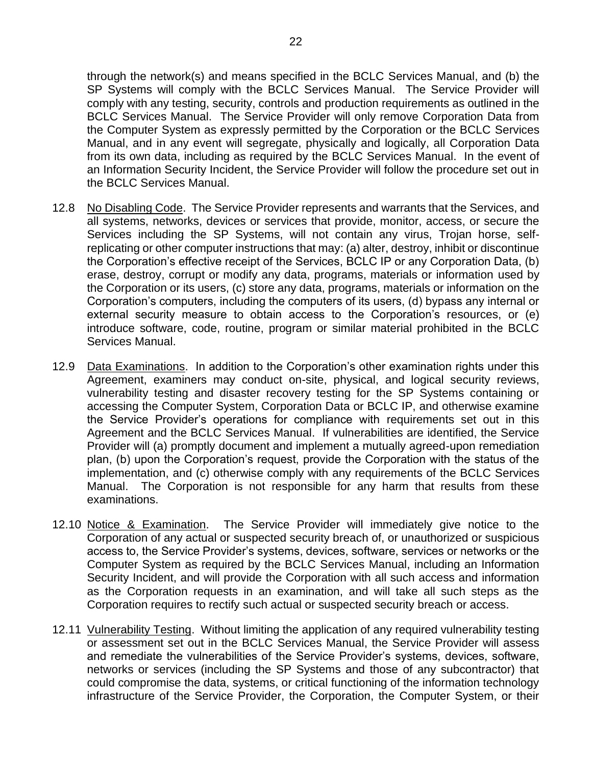through the network(s) and means specified in the BCLC Services Manual, and (b) the SP Systems will comply with the BCLC Services Manual. The Service Provider will comply with any testing, security, controls and production requirements as outlined in the BCLC Services Manual. The Service Provider will only remove Corporation Data from the Computer System as expressly permitted by the Corporation or the BCLC Services Manual, and in any event will segregate, physically and logically, all Corporation Data from its own data, including as required by the BCLC Services Manual. In the event of an Information Security Incident, the Service Provider will follow the procedure set out in the BCLC Services Manual.

- 12.8 No Disabling Code. The Service Provider represents and warrants that the Services, and all systems, networks, devices or services that provide, monitor, access, or secure the Services including the SP Systems, will not contain any virus, Trojan horse, selfreplicating or other computer instructions that may: (a) alter, destroy, inhibit or discontinue the Corporation's effective receipt of the Services, BCLC IP or any Corporation Data, (b) erase, destroy, corrupt or modify any data, programs, materials or information used by the Corporation or its users, (c) store any data, programs, materials or information on the Corporation's computers, including the computers of its users, (d) bypass any internal or external security measure to obtain access to the Corporation's resources, or (e) introduce software, code, routine, program or similar material prohibited in the BCLC Services Manual.
- 12.9 Data Examinations. In addition to the Corporation's other examination rights under this Agreement, examiners may conduct on-site, physical, and logical security reviews, vulnerability testing and disaster recovery testing for the SP Systems containing or accessing the Computer System, Corporation Data or BCLC IP, and otherwise examine the Service Provider's operations for compliance with requirements set out in this Agreement and the BCLC Services Manual. If vulnerabilities are identified, the Service Provider will (a) promptly document and implement a mutually agreed-upon remediation plan, (b) upon the Corporation's request, provide the Corporation with the status of the implementation, and (c) otherwise comply with any requirements of the BCLC Services Manual. The Corporation is not responsible for any harm that results from these examinations.
- 12.10 Notice & Examination. The Service Provider will immediately give notice to the Corporation of any actual or suspected security breach of, or unauthorized or suspicious access to, the Service Provider's systems, devices, software, services or networks or the Computer System as required by the BCLC Services Manual, including an Information Security Incident, and will provide the Corporation with all such access and information as the Corporation requests in an examination, and will take all such steps as the Corporation requires to rectify such actual or suspected security breach or access.
- 12.11 Vulnerability Testing. Without limiting the application of any required vulnerability testing or assessment set out in the BCLC Services Manual, the Service Provider will assess and remediate the vulnerabilities of the Service Provider's systems, devices, software, networks or services (including the SP Systems and those of any subcontractor) that could compromise the data, systems, or critical functioning of the information technology infrastructure of the Service Provider, the Corporation, the Computer System, or their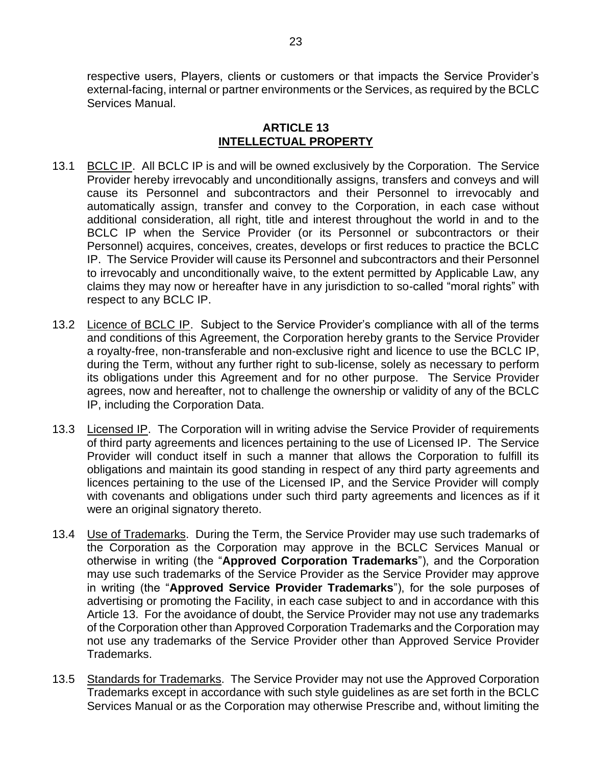respective users, Players, clients or customers or that impacts the Service Provider's external-facing, internal or partner environments or the Services, as required by the BCLC Services Manual.

## **ARTICLE 13 INTELLECTUAL PROPERTY**

- <span id="page-24-0"></span>13.1 BCLC IP. All BCLC IP is and will be owned exclusively by the Corporation. The Service Provider hereby irrevocably and unconditionally assigns, transfers and conveys and will cause its Personnel and subcontractors and their Personnel to irrevocably and automatically assign, transfer and convey to the Corporation, in each case without additional consideration, all right, title and interest throughout the world in and to the BCLC IP when the Service Provider (or its Personnel or subcontractors or their Personnel) acquires, conceives, creates, develops or first reduces to practice the BCLC IP. The Service Provider will cause its Personnel and subcontractors and their Personnel to irrevocably and unconditionally waive, to the extent permitted by Applicable Law, any claims they may now or hereafter have in any jurisdiction to so-called "moral rights" with respect to any BCLC IP.
- 13.2 Licence of BCLC IP. Subject to the Service Provider's compliance with all of the terms and conditions of this Agreement, the Corporation hereby grants to the Service Provider a royalty-free, non-transferable and non-exclusive right and licence to use the BCLC IP, during the Term, without any further right to sub-license, solely as necessary to perform its obligations under this Agreement and for no other purpose. The Service Provider agrees, now and hereafter, not to challenge the ownership or validity of any of the BCLC IP, including the Corporation Data.
- 13.3 Licensed IP. The Corporation will in writing advise the Service Provider of requirements of third party agreements and licences pertaining to the use of Licensed IP. The Service Provider will conduct itself in such a manner that allows the Corporation to fulfill its obligations and maintain its good standing in respect of any third party agreements and licences pertaining to the use of the Licensed IP, and the Service Provider will comply with covenants and obligations under such third party agreements and licences as if it were an original signatory thereto.
- 13.4 Use of Trademarks. During the Term, the Service Provider may use such trademarks of the Corporation as the Corporation may approve in the BCLC Services Manual or otherwise in writing (the "**Approved Corporation Trademarks**"), and the Corporation may use such trademarks of the Service Provider as the Service Provider may approve in writing (the "**Approved Service Provider Trademarks**"), for the sole purposes of advertising or promoting the Facility, in each case subject to and in accordance with this [Article](#page-24-0) 13. For the avoidance of doubt, the Service Provider may not use any trademarks of the Corporation other than Approved Corporation Trademarks and the Corporation may not use any trademarks of the Service Provider other than Approved Service Provider Trademarks.
- <span id="page-24-1"></span>13.5 Standards for Trademarks. The Service Provider may not use the Approved Corporation Trademarks except in accordance with such style guidelines as are set forth in the BCLC Services Manual or as the Corporation may otherwise Prescribe and, without limiting the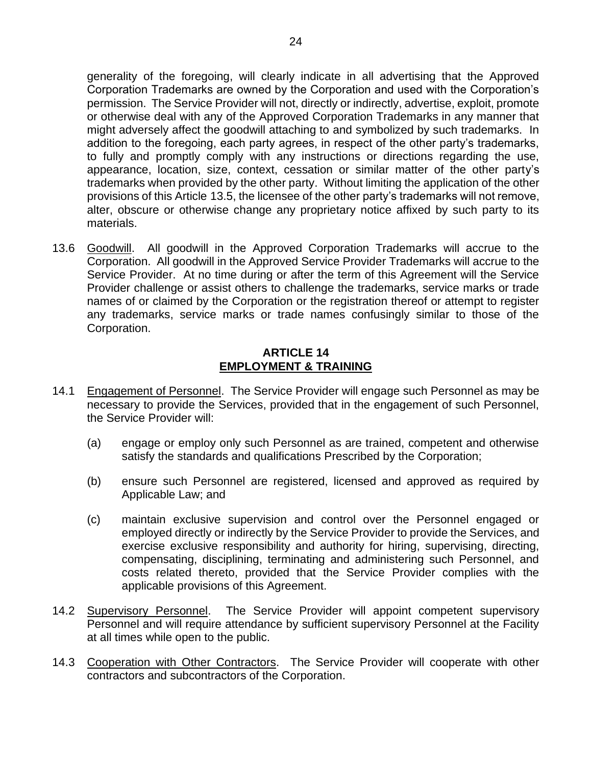generality of the foregoing, will clearly indicate in all advertising that the Approved Corporation Trademarks are owned by the Corporation and used with the Corporation's permission. The Service Provider will not, directly or indirectly, advertise, exploit, promote or otherwise deal with any of the Approved Corporation Trademarks in any manner that might adversely affect the goodwill attaching to and symbolized by such trademarks. In addition to the foregoing, each party agrees, in respect of the other party's trademarks, to fully and promptly comply with any instructions or directions regarding the use, appearance, location, size, context, cessation or similar matter of the other party's trademarks when provided by the other party. Without limiting the application of the other provisions of this Article [13.5,](#page-24-1) the licensee of the other party's trademarks will not remove, alter, obscure or otherwise change any proprietary notice affixed by such party to its materials.

13.6 Goodwill. All goodwill in the Approved Corporation Trademarks will accrue to the Corporation. All goodwill in the Approved Service Provider Trademarks will accrue to the Service Provider. At no time during or after the term of this Agreement will the Service Provider challenge or assist others to challenge the trademarks, service marks or trade names of or claimed by the Corporation or the registration thereof or attempt to register any trademarks, service marks or trade names confusingly similar to those of the Corporation.

## **ARTICLE 14 EMPLOYMENT & TRAINING**

- <span id="page-25-0"></span>14.1 Engagement of Personnel. The Service Provider will engage such Personnel as may be necessary to provide the Services, provided that in the engagement of such Personnel, the Service Provider will:
	- (a) engage or employ only such Personnel as are trained, competent and otherwise satisfy the standards and qualifications Prescribed by the Corporation;
	- (b) ensure such Personnel are registered, licensed and approved as required by Applicable Law; and
	- (c) maintain exclusive supervision and control over the Personnel engaged or employed directly or indirectly by the Service Provider to provide the Services, and exercise exclusive responsibility and authority for hiring, supervising, directing, compensating, disciplining, terminating and administering such Personnel, and costs related thereto, provided that the Service Provider complies with the applicable provisions of this Agreement.
- 14.2 Supervisory Personnel. The Service Provider will appoint competent supervisory Personnel and will require attendance by sufficient supervisory Personnel at the Facility at all times while open to the public.
- 14.3 Cooperation with Other Contractors. The Service Provider will cooperate with other contractors and subcontractors of the Corporation.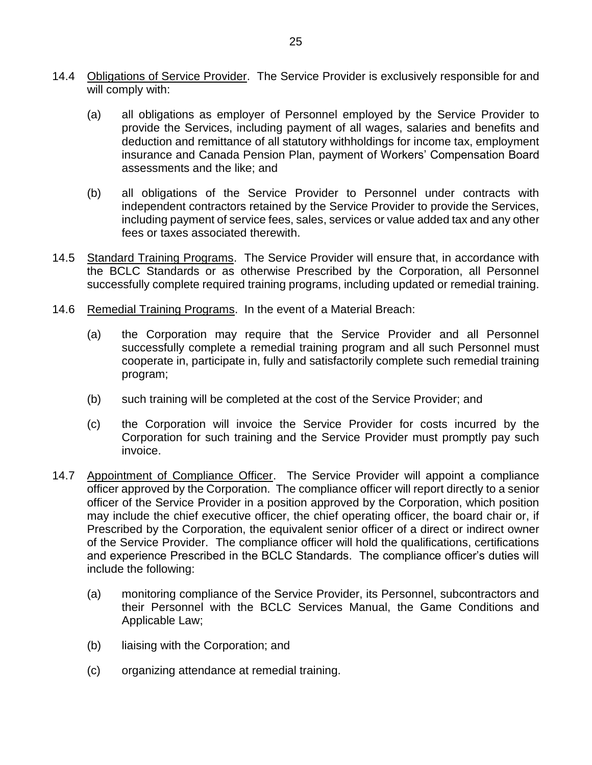- 14.4 Obligations of Service Provider. The Service Provider is exclusively responsible for and will comply with:
	- (a) all obligations as employer of Personnel employed by the Service Provider to provide the Services, including payment of all wages, salaries and benefits and deduction and remittance of all statutory withholdings for income tax, employment insurance and Canada Pension Plan, payment of Workers' Compensation Board assessments and the like; and
	- (b) all obligations of the Service Provider to Personnel under contracts with independent contractors retained by the Service Provider to provide the Services, including payment of service fees, sales, services or value added tax and any other fees or taxes associated therewith.
- 14.5 Standard Training Programs. The Service Provider will ensure that, in accordance with the BCLC Standards or as otherwise Prescribed by the Corporation, all Personnel successfully complete required training programs, including updated or remedial training.
- 14.6 Remedial Training Programs. In the event of a Material Breach:
	- (a) the Corporation may require that the Service Provider and all Personnel successfully complete a remedial training program and all such Personnel must cooperate in, participate in, fully and satisfactorily complete such remedial training program;
	- (b) such training will be completed at the cost of the Service Provider; and
	- (c) the Corporation will invoice the Service Provider for costs incurred by the Corporation for such training and the Service Provider must promptly pay such invoice.
- 14.7 Appointment of Compliance Officer. The Service Provider will appoint a compliance officer approved by the Corporation. The compliance officer will report directly to a senior officer of the Service Provider in a position approved by the Corporation, which position may include the chief executive officer, the chief operating officer, the board chair or, if Prescribed by the Corporation, the equivalent senior officer of a direct or indirect owner of the Service Provider. The compliance officer will hold the qualifications, certifications and experience Prescribed in the BCLC Standards. The compliance officer's duties will include the following:
	- (a) monitoring compliance of the Service Provider, its Personnel, subcontractors and their Personnel with the BCLC Services Manual, the Game Conditions and Applicable Law;
	- (b) liaising with the Corporation; and
	- (c) organizing attendance at remedial training.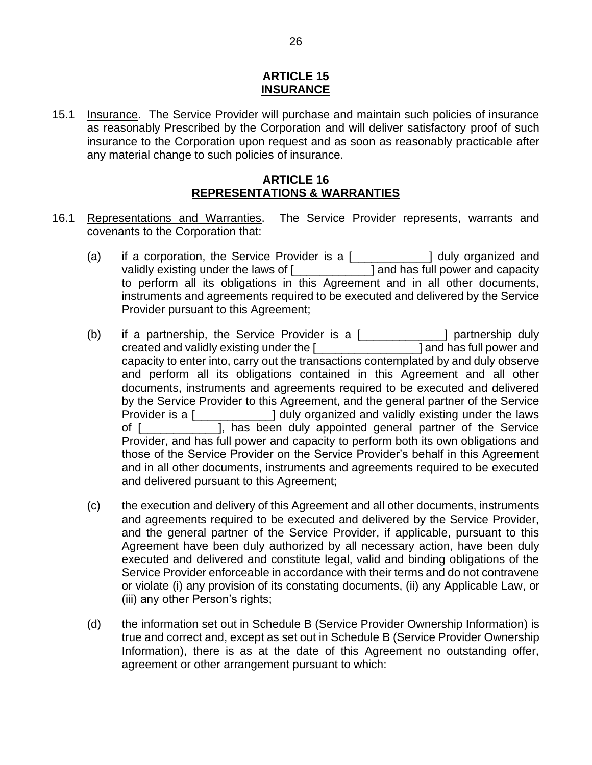#### **ARTICLE 15 INSURANCE**

<span id="page-27-0"></span>15.1 Insurance. The Service Provider will purchase and maintain such policies of insurance as reasonably Prescribed by the Corporation and will deliver satisfactory proof of such insurance to the Corporation upon request and as soon as reasonably practicable after any material change to such policies of insurance.

## **ARTICLE 16 REPRESENTATIONS & WARRANTIES**

- <span id="page-27-1"></span>16.1 Representations and Warranties. The Service Provider represents, warrants and covenants to the Corporation that:
	- (a) if a corporation, the Service Provider is a [\_\_\_\_\_\_\_\_\_\_\_\_] duly organized and validly existing under the laws of [\_\_\_\_\_\_\_\_\_\_\_\_] and has full power and capacity to perform all its obligations in this Agreement and in all other documents, instruments and agreements required to be executed and delivered by the Service Provider pursuant to this Agreement;
	- (b) if a partnership, the Service Provider is a [\_\_\_\_\_\_\_\_\_\_\_\_\_] partnership duly created and validly existing under the [\_\_\_\_\_\_\_\_\_\_\_\_\_\_\_\_] and has full power and capacity to enter into, carry out the transactions contemplated by and duly observe and perform all its obligations contained in this Agreement and all other documents, instruments and agreements required to be executed and delivered by the Service Provider to this Agreement, and the general partner of the Service Provider is a [\_\_\_\_\_\_\_\_\_\_\_\_] duly organized and validly existing under the laws of [\_\_\_\_\_\_\_\_\_\_\_\_], has been duly appointed general partner of the Service Provider, and has full power and capacity to perform both its own obligations and those of the Service Provider on the Service Provider's behalf in this Agreement and in all other documents, instruments and agreements required to be executed and delivered pursuant to this Agreement;
	- (c) the execution and delivery of this Agreement and all other documents, instruments and agreements required to be executed and delivered by the Service Provider, and the general partner of the Service Provider, if applicable, pursuant to this Agreement have been duly authorized by all necessary action, have been duly executed and delivered and constitute legal, valid and binding obligations of the Service Provider enforceable in accordance with their terms and do not contravene or violate (i) any provision of its constating documents, (ii) any Applicable Law, or (iii) any other Person's rights;
	- (d) the information set out in [Schedule](#page--1-0) B [\(Service Provider Ownership Information\)](#page--1-0) is true and correct and, except as set out in [Schedule](#page--1-0) B [\(Service Provider Ownership](#page--1-0)  [Information\)](#page--1-0), there is as at the date of this Agreement no outstanding offer, agreement or other arrangement pursuant to which: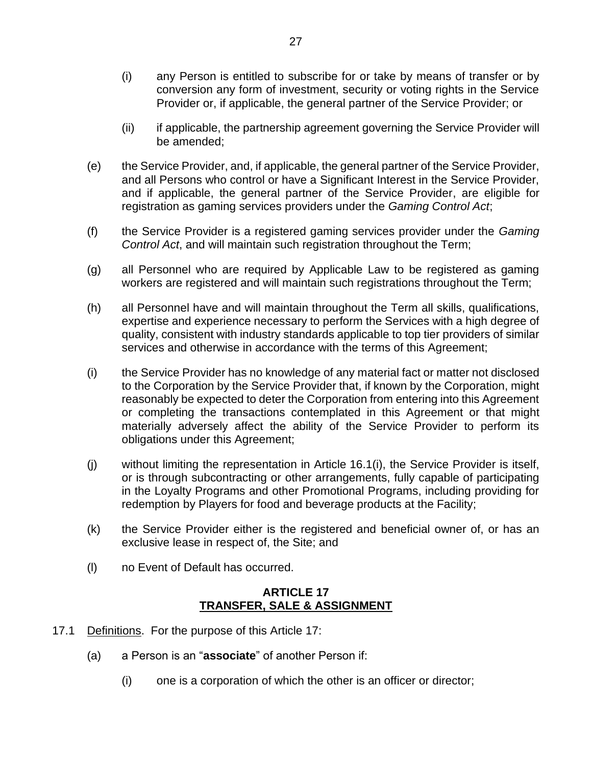- (i) any Person is entitled to subscribe for or take by means of transfer or by conversion any form of investment, security or voting rights in the Service Provider or, if applicable, the general partner of the Service Provider; or
- (ii) if applicable, the partnership agreement governing the Service Provider will be amended;
- (e) the Service Provider, and, if applicable, the general partner of the Service Provider, and all Persons who control or have a Significant Interest in the Service Provider, and if applicable, the general partner of the Service Provider, are eligible for registration as gaming services providers under the *Gaming Control Act*;
- (f) the Service Provider is a registered gaming services provider under the *Gaming Control Act*, and will maintain such registration throughout the Term;
- (g) all Personnel who are required by Applicable Law to be registered as gaming workers are registered and will maintain such registrations throughout the Term;
- (h) all Personnel have and will maintain throughout the Term all skills, qualifications, expertise and experience necessary to perform the Services with a high degree of quality, consistent with industry standards applicable to top tier providers of similar services and otherwise in accordance with the terms of this Agreement;
- (i) the Service Provider has no knowledge of any material fact or matter not disclosed to the Corporation by the Service Provider that, if known by the Corporation, might reasonably be expected to deter the Corporation from entering into this Agreement or completing the transactions contemplated in this Agreement or that might materially adversely affect the ability of the Service Provider to perform its obligations under this Agreement;
- (j) without limiting the representation in Article 16.1(i), the Service Provider is itself, or is through subcontracting or other arrangements, fully capable of participating in the Loyalty Programs and other Promotional Programs, including providing for redemption by Players for food and beverage products at the Facility;
- (k) the Service Provider either is the registered and beneficial owner of, or has an exclusive lease in respect of, the Site; and
- (l) no Event of Default has occurred.

## **ARTICLE 17 TRANSFER, SALE & ASSIGNMENT**

- <span id="page-28-0"></span>17.1 Definitions. For the purpose of this [Article](#page-28-0) 17:
	- (a) a Person is an "**associate**" of another Person if:
		- (i) one is a corporation of which the other is an officer or director;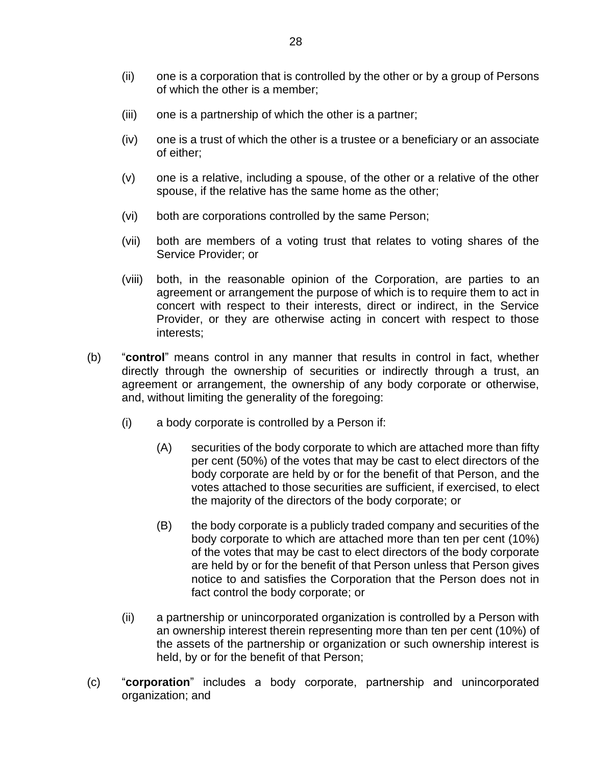- (ii) one is a corporation that is controlled by the other or by a group of Persons of which the other is a member;
- (iii) one is a partnership of which the other is a partner;
- (iv) one is a trust of which the other is a trustee or a beneficiary or an associate of either;
- (v) one is a relative, including a spouse, of the other or a relative of the other spouse, if the relative has the same home as the other;
- (vi) both are corporations controlled by the same Person;
- (vii) both are members of a voting trust that relates to voting shares of the Service Provider; or
- (viii) both, in the reasonable opinion of the Corporation, are parties to an agreement or arrangement the purpose of which is to require them to act in concert with respect to their interests, direct or indirect, in the Service Provider, or they are otherwise acting in concert with respect to those interests;
- (b) "**control**" means control in any manner that results in control in fact, whether directly through the ownership of securities or indirectly through a trust, an agreement or arrangement, the ownership of any body corporate or otherwise, and, without limiting the generality of the foregoing:
	- (i) a body corporate is controlled by a Person if:
		- (A) securities of the body corporate to which are attached more than fifty per cent (50%) of the votes that may be cast to elect directors of the body corporate are held by or for the benefit of that Person, and the votes attached to those securities are sufficient, if exercised, to elect the majority of the directors of the body corporate; or
		- (B) the body corporate is a publicly traded company and securities of the body corporate to which are attached more than ten per cent (10%) of the votes that may be cast to elect directors of the body corporate are held by or for the benefit of that Person unless that Person gives notice to and satisfies the Corporation that the Person does not in fact control the body corporate; or
	- (ii) a partnership or unincorporated organization is controlled by a Person with an ownership interest therein representing more than ten per cent (10%) of the assets of the partnership or organization or such ownership interest is held, by or for the benefit of that Person;
- (c) "**corporation**" includes a body corporate, partnership and unincorporated organization; and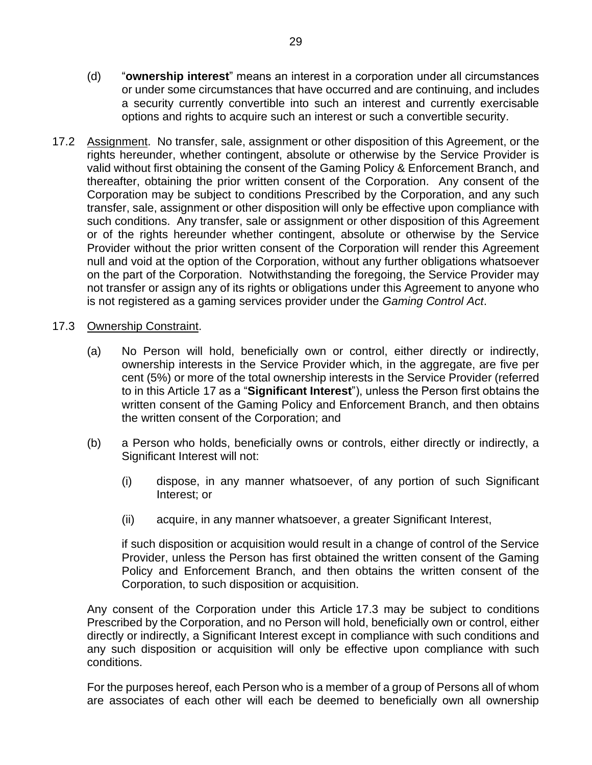- (d) "**ownership interest**" means an interest in a corporation under all circumstances or under some circumstances that have occurred and are continuing, and includes a security currently convertible into such an interest and currently exercisable options and rights to acquire such an interest or such a convertible security.
- 17.2 Assignment. No transfer, sale, assignment or other disposition of this Agreement, or the rights hereunder, whether contingent, absolute or otherwise by the Service Provider is valid without first obtaining the consent of the Gaming Policy & Enforcement Branch, and thereafter, obtaining the prior written consent of the Corporation. Any consent of the Corporation may be subject to conditions Prescribed by the Corporation, and any such transfer, sale, assignment or other disposition will only be effective upon compliance with such conditions. Any transfer, sale or assignment or other disposition of this Agreement or of the rights hereunder whether contingent, absolute or otherwise by the Service Provider without the prior written consent of the Corporation will render this Agreement null and void at the option of the Corporation, without any further obligations whatsoever on the part of the Corporation. Notwithstanding the foregoing, the Service Provider may not transfer or assign any of its rights or obligations under this Agreement to anyone who is not registered as a gaming services provider under the *Gaming Control Act*.

## <span id="page-30-0"></span>17.3 Ownership Constraint.

- (a) No Person will hold, beneficially own or control, either directly or indirectly, ownership interests in the Service Provider which, in the aggregate, are five per cent (5%) or more of the total ownership interests in the Service Provider (referred to in this [Article](#page-28-0) 17 as a "**Significant Interest**"), unless the Person first obtains the written consent of the Gaming Policy and Enforcement Branch, and then obtains the written consent of the Corporation; and
- (b) a Person who holds, beneficially owns or controls, either directly or indirectly, a Significant Interest will not:
	- (i) dispose, in any manner whatsoever, of any portion of such Significant Interest; or
	- (ii) acquire, in any manner whatsoever, a greater Significant Interest,

if such disposition or acquisition would result in a change of control of the Service Provider, unless the Person has first obtained the written consent of the Gaming Policy and Enforcement Branch, and then obtains the written consent of the Corporation, to such disposition or acquisition.

Any consent of the Corporation under this Article [17.3](#page-30-0) may be subject to conditions Prescribed by the Corporation, and no Person will hold, beneficially own or control, either directly or indirectly, a Significant Interest except in compliance with such conditions and any such disposition or acquisition will only be effective upon compliance with such conditions.

For the purposes hereof, each Person who is a member of a group of Persons all of whom are associates of each other will each be deemed to beneficially own all ownership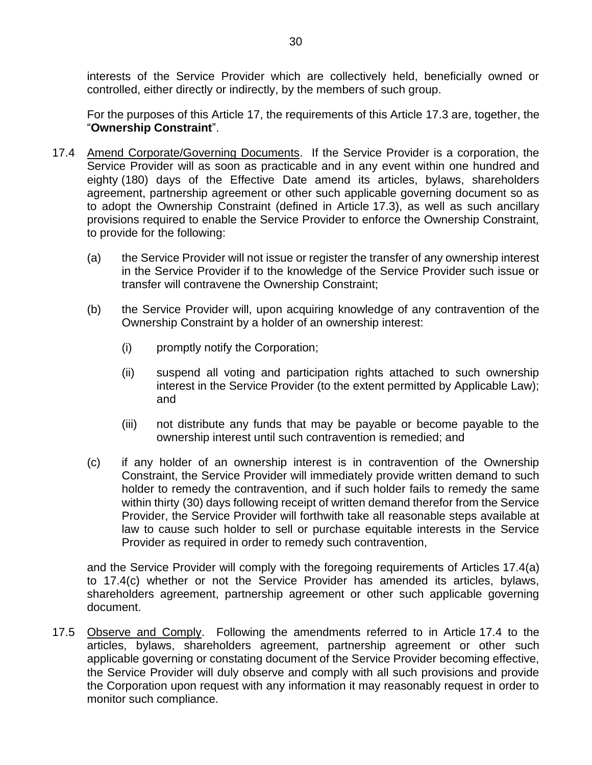interests of the Service Provider which are collectively held, beneficially owned or controlled, either directly or indirectly, by the members of such group.

For the purposes of this [Article](#page-28-0) 17, the requirements of this Article [17.3](#page-30-0) are, together, the "**Ownership Constraint**".

- <span id="page-31-2"></span><span id="page-31-0"></span>17.4 Amend Corporate/Governing Documents. If the Service Provider is a corporation, the Service Provider will as soon as practicable and in any event within one hundred and eighty (180) days of the Effective Date amend its articles, bylaws, shareholders agreement, partnership agreement or other such applicable governing document so as to adopt the Ownership Constraint (defined in Article [17.3\)](#page-30-0), as well as such ancillary provisions required to enable the Service Provider to enforce the Ownership Constraint, to provide for the following:
	- (a) the Service Provider will not issue or register the transfer of any ownership interest in the Service Provider if to the knowledge of the Service Provider such issue or transfer will contravene the Ownership Constraint;
	- (b) the Service Provider will, upon acquiring knowledge of any contravention of the Ownership Constraint by a holder of an ownership interest:
		- (i) promptly notify the Corporation;
		- (ii) suspend all voting and participation rights attached to such ownership interest in the Service Provider (to the extent permitted by Applicable Law); and
		- (iii) not distribute any funds that may be payable or become payable to the ownership interest until such contravention is remedied; and
	- (c) if any holder of an ownership interest is in contravention of the Ownership Constraint, the Service Provider will immediately provide written demand to such holder to remedy the contravention, and if such holder fails to remedy the same within thirty (30) days following receipt of written demand therefor from the Service Provider, the Service Provider will forthwith take all reasonable steps available at law to cause such holder to sell or purchase equitable interests in the Service Provider as required in order to remedy such contravention,

<span id="page-31-1"></span>and the Service Provider will comply with the foregoing requirements of Articles [17.4\(a\)](#page-31-0) to [17.4\(c\)](#page-31-1) whether or not the Service Provider has amended its articles, bylaws, shareholders agreement, partnership agreement or other such applicable governing document.

17.5 Observe and Comply. Following the amendments referred to in Article [17.4](#page-31-2) to the articles, bylaws, shareholders agreement, partnership agreement or other such applicable governing or constating document of the Service Provider becoming effective, the Service Provider will duly observe and comply with all such provisions and provide the Corporation upon request with any information it may reasonably request in order to monitor such compliance.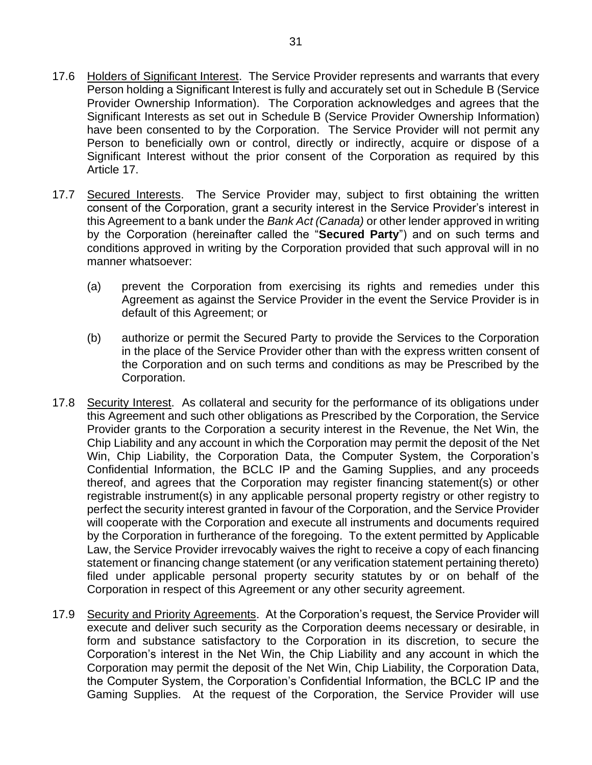- 17.6 Holders of Significant Interest. The Service Provider represents and warrants that every Person holding a Significant Interest is fully and accurately set out in [Schedule](#page--1-0) B [\(Service](#page--1-0)  [Provider Ownership Information\)](#page--1-0). The Corporation acknowledges and agrees that the Significant Interests as set out in [Schedule](#page--1-0) B [\(Service Provider Ownership Information\)](#page--1-0) have been consented to by the Corporation. The Service Provider will not permit any Person to beneficially own or control, directly or indirectly, acquire or dispose of a Significant Interest without the prior consent of the Corporation as required by this [Article](#page-28-0) 17.
- <span id="page-32-0"></span>17.7 Secured Interests. The Service Provider may, subject to first obtaining the written consent of the Corporation, grant a security interest in the Service Provider's interest in this Agreement to a bank under the *Bank Act (Canada)* or other lender approved in writing by the Corporation (hereinafter called the "**Secured Party**") and on such terms and conditions approved in writing by the Corporation provided that such approval will in no manner whatsoever:
	- (a) prevent the Corporation from exercising its rights and remedies under this Agreement as against the Service Provider in the event the Service Provider is in default of this Agreement; or
	- (b) authorize or permit the Secured Party to provide the Services to the Corporation in the place of the Service Provider other than with the express written consent of the Corporation and on such terms and conditions as may be Prescribed by the Corporation.
- 17.8 Security Interest. As collateral and security for the performance of its obligations under this Agreement and such other obligations as Prescribed by the Corporation, the Service Provider grants to the Corporation a security interest in the Revenue, the Net Win, the Chip Liability and any account in which the Corporation may permit the deposit of the Net Win, Chip Liability, the Corporation Data, the Computer System, the Corporation's Confidential Information, the BCLC IP and the Gaming Supplies, and any proceeds thereof, and agrees that the Corporation may register financing statement(s) or other registrable instrument(s) in any applicable personal property registry or other registry to perfect the security interest granted in favour of the Corporation, and the Service Provider will cooperate with the Corporation and execute all instruments and documents required by the Corporation in furtherance of the foregoing. To the extent permitted by Applicable Law, the Service Provider irrevocably waives the right to receive a copy of each financing statement or financing change statement (or any verification statement pertaining thereto) filed under applicable personal property security statutes by or on behalf of the Corporation in respect of this Agreement or any other security agreement.
- 17.9 Security and Priority Agreements. At the Corporation's request, the Service Provider will execute and deliver such security as the Corporation deems necessary or desirable, in form and substance satisfactory to the Corporation in its discretion, to secure the Corporation's interest in the Net Win, the Chip Liability and any account in which the Corporation may permit the deposit of the Net Win, Chip Liability, the Corporation Data, the Computer System, the Corporation's Confidential Information, the BCLC IP and the Gaming Supplies. At the request of the Corporation, the Service Provider will use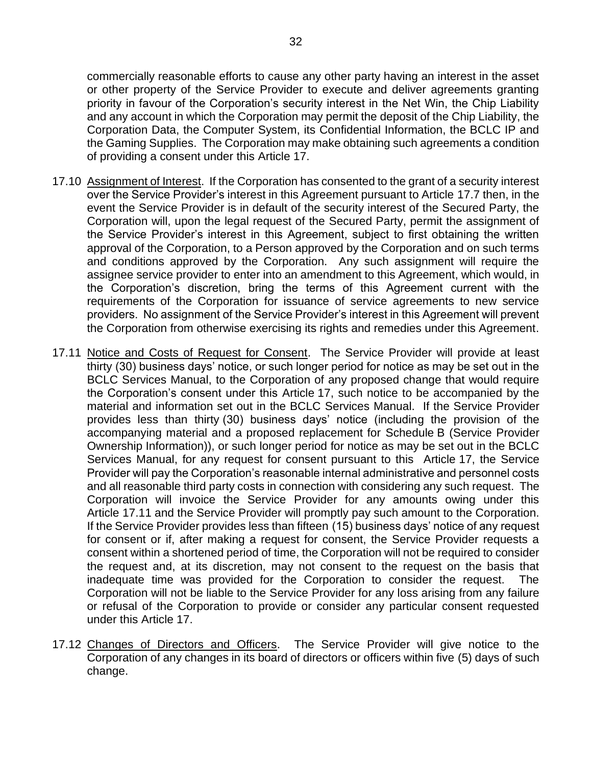commercially reasonable efforts to cause any other party having an interest in the asset or other property of the Service Provider to execute and deliver agreements granting priority in favour of the Corporation's security interest in the Net Win, the Chip Liability and any account in which the Corporation may permit the deposit of the Chip Liability, the Corporation Data, the Computer System, its Confidential Information, the BCLC IP and the Gaming Supplies. The Corporation may make obtaining such agreements a condition of providing a consent under this [Article](#page-28-0) 17.

- 17.10 Assignment of Interest. If the Corporation has consented to the grant of a security interest over the Service Provider's interest in this Agreement pursuant to Article [17.7](#page-32-0) then, in the event the Service Provider is in default of the security interest of the Secured Party, the Corporation will, upon the legal request of the Secured Party, permit the assignment of the Service Provider's interest in this Agreement, subject to first obtaining the written approval of the Corporation, to a Person approved by the Corporation and on such terms and conditions approved by the Corporation. Any such assignment will require the assignee service provider to enter into an amendment to this Agreement, which would, in the Corporation's discretion, bring the terms of this Agreement current with the requirements of the Corporation for issuance of service agreements to new service providers. No assignment of the Service Provider's interest in this Agreement will prevent the Corporation from otherwise exercising its rights and remedies under this Agreement.
- <span id="page-33-0"></span>17.11 Notice and Costs of Request for Consent. The Service Provider will provide at least thirty (30) business days' notice, or such longer period for notice as may be set out in the BCLC Services Manual, to the Corporation of any proposed change that would require the Corporation's consent under this [Article](#page-28-0) 17, such notice to be accompanied by the material and information set out in the BCLC Services Manual. If the Service Provider provides less than thirty (30) business days' notice (including the provision of the accompanying material and a proposed replacement for [Schedule](#page--1-0) B [\(Service Provider](#page--1-0)  [Ownership Information\)](#page--1-0)), or such longer period for notice as may be set out in the BCLC Services Manual, for any request for consent pursuant to this [Article](#page-28-0) 17, the Service Provider will pay the Corporation's reasonable internal administrative and personnel costs and all reasonable third party costs in connection with considering any such request. The Corporation will invoice the Service Provider for any amounts owing under this Article [17.11](#page-33-0) and the Service Provider will promptly pay such amount to the Corporation. If the Service Provider provides less than fifteen (15) business days' notice of any request for consent or if, after making a request for consent, the Service Provider requests a consent within a shortened period of time, the Corporation will not be required to consider the request and, at its discretion, may not consent to the request on the basis that inadequate time was provided for the Corporation to consider the request. The Corporation will not be liable to the Service Provider for any loss arising from any failure or refusal of the Corporation to provide or consider any particular consent requested under this [Article](#page-28-0) 17.
- 17.12 Changes of Directors and Officers. The Service Provider will give notice to the Corporation of any changes in its board of directors or officers within five (5) days of such change.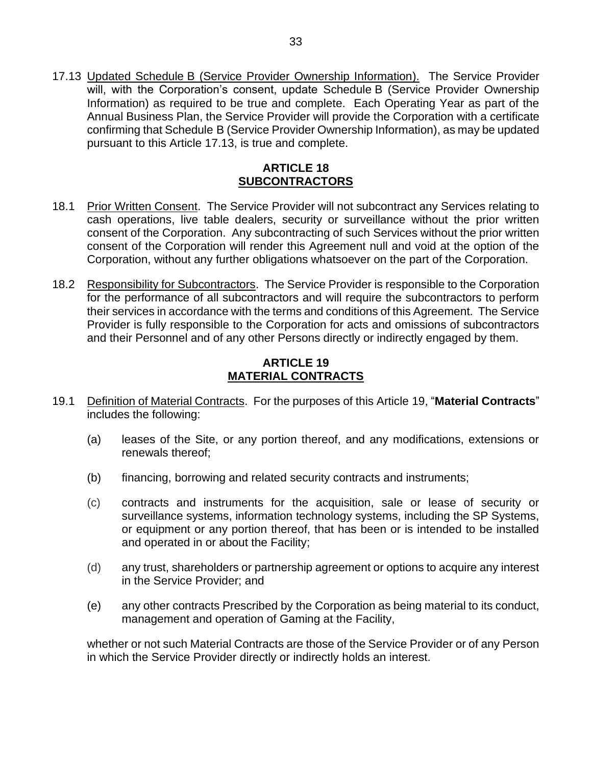<span id="page-34-2"></span>17.13 Updated Schedule B [\(Service Provider Ownership Information\)](#page--1-0). The Service Provider will, with [the Corpora](#page--1-0)tion's consent, update [Schedule](#page--1-0) B (Service Provider Ownership [Information\)](#page--1-0) as required to be true and complete. Each Operating Year as part of the Annual Business Plan, the Service Provider will provide the Corporation with a certificate confirming tha[t Schedule](#page--1-0) B [\(Service Provider Ownership Information\)](#page--1-0), as may be updated pursuant to this Article [17.13,](#page-34-2) is true and complete.

## **ARTICLE 18 SUBCONTRACTORS**

- <span id="page-34-0"></span>18.1 Prior Written Consent. The Service Provider will not subcontract any Services relating to cash operations, live table dealers, security or surveillance without the prior written consent of the Corporation. Any subcontracting of such Services without the prior written consent of the Corporation will render this Agreement null and void at the option of the Corporation, without any further obligations whatsoever on the part of the Corporation.
- <span id="page-34-3"></span>18.2 Responsibility for Subcontractors. The Service Provider is responsible to the Corporation for the performance of all subcontractors and will require the subcontractors to perform their services in accordance with the terms and conditions of this Agreement. The Service Provider is fully responsible to the Corporation for acts and omissions of subcontractors and their Personnel and of any other Persons directly or indirectly engaged by them.

## **ARTICLE 19 MATERIAL CONTRACTS**

- <span id="page-34-1"></span>19.1 Definition of Material Contracts. For the purposes of this [Article](#page-34-1) 19, "**Material Contracts**" includes the following:
	- (a) leases of the Site, or any portion thereof, and any modifications, extensions or renewals thereof;
	- (b) financing, borrowing and related security contracts and instruments;
	- (c) contracts and instruments for the acquisition, sale or lease of security or surveillance systems, information technology systems, including the SP Systems, or equipment or any portion thereof, that has been or is intended to be installed and operated in or about the Facility;
	- (d) any trust, shareholders or partnership agreement or options to acquire any interest in the Service Provider; and
	- (e) any other contracts Prescribed by the Corporation as being material to its conduct, management and operation of Gaming at the Facility,

whether or not such Material Contracts are those of the Service Provider or of any Person in which the Service Provider directly or indirectly holds an interest.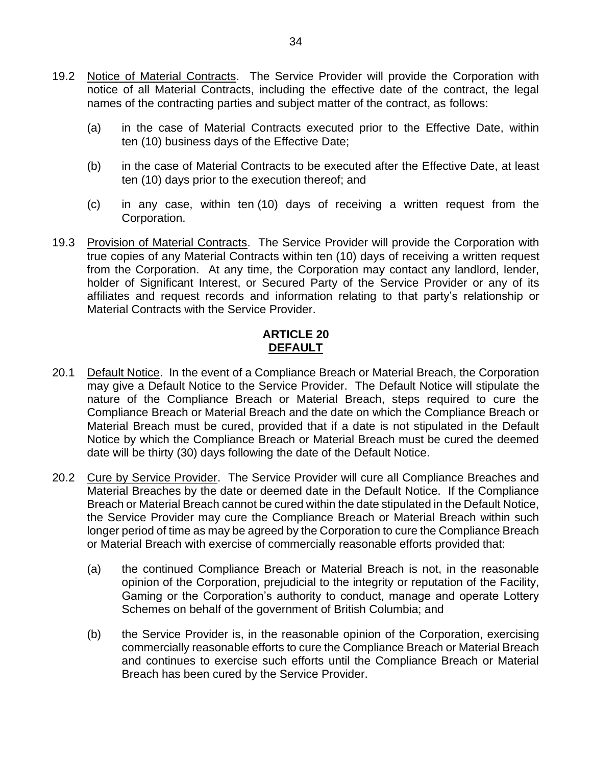- 19.2 Notice of Material Contracts. The Service Provider will provide the Corporation with notice of all Material Contracts, including the effective date of the contract, the legal names of the contracting parties and subject matter of the contract, as follows:
	- (a) in the case of Material Contracts executed prior to the Effective Date, within ten (10) business days of the Effective Date;
	- (b) in the case of Material Contracts to be executed after the Effective Date, at least ten (10) days prior to the execution thereof; and
	- (c) in any case, within ten (10) days of receiving a written request from the Corporation.
- 19.3 Provision of Material Contracts. The Service Provider will provide the Corporation with true copies of any Material Contracts within ten (10) days of receiving a written request from the Corporation. At any time, the Corporation may contact any landlord, lender, holder of Significant Interest, or Secured Party of the Service Provider or any of its affiliates and request records and information relating to that party's relationship or Material Contracts with the Service Provider.

## **ARTICLE 20 DEFAULT**

- <span id="page-35-1"></span><span id="page-35-0"></span>20.1 Default Notice. In the event of a Compliance Breach or Material Breach, the Corporation may give a Default Notice to the Service Provider. The Default Notice will stipulate the nature of the Compliance Breach or Material Breach, steps required to cure the Compliance Breach or Material Breach and the date on which the Compliance Breach or Material Breach must be cured, provided that if a date is not stipulated in the Default Notice by which the Compliance Breach or Material Breach must be cured the deemed date will be thirty (30) days following the date of the Default Notice.
- 20.2 Cure by Service Provider. The Service Provider will cure all Compliance Breaches and Material Breaches by the date or deemed date in the Default Notice. If the Compliance Breach or Material Breach cannot be cured within the date stipulated in the Default Notice, the Service Provider may cure the Compliance Breach or Material Breach within such longer period of time as may be agreed by the Corporation to cure the Compliance Breach or Material Breach with exercise of commercially reasonable efforts provided that:
	- (a) the continued Compliance Breach or Material Breach is not, in the reasonable opinion of the Corporation, prejudicial to the integrity or reputation of the Facility, Gaming or the Corporation's authority to conduct, manage and operate Lottery Schemes on behalf of the government of British Columbia; and
	- (b) the Service Provider is, in the reasonable opinion of the Corporation, exercising commercially reasonable efforts to cure the Compliance Breach or Material Breach and continues to exercise such efforts until the Compliance Breach or Material Breach has been cured by the Service Provider.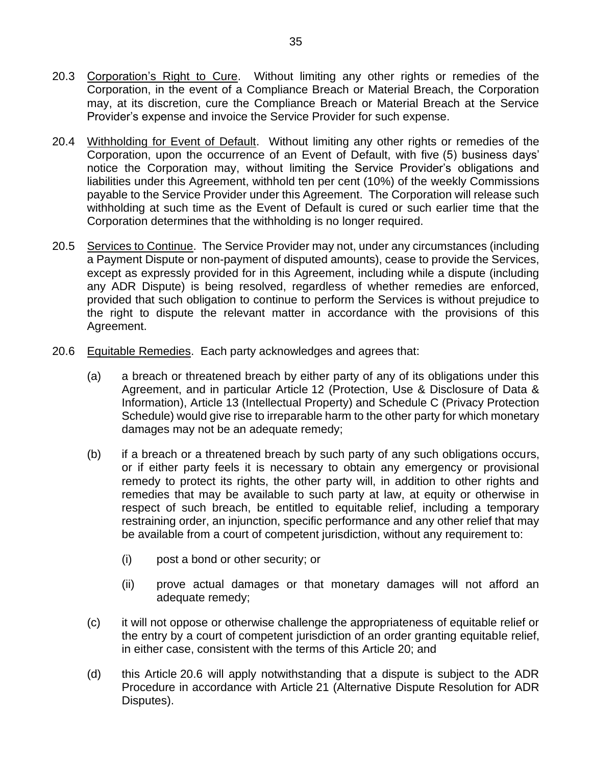- 20.3 Corporation's Right to Cure. Without limiting any other rights or remedies of the Corporation, in the event of a Compliance Breach or Material Breach, the Corporation may, at its discretion, cure the Compliance Breach or Material Breach at the Service Provider's expense and invoice the Service Provider for such expense.
- 20.4 Withholding for Event of Default. Without limiting any other rights or remedies of the Corporation, upon the occurrence of an Event of Default, with five (5) business days' notice the Corporation may, without limiting the Service Provider's obligations and liabilities under this Agreement, withhold ten per cent (10%) of the weekly Commissions payable to the Service Provider under this Agreement. The Corporation will release such withholding at such time as the Event of Default is cured or such earlier time that the Corporation determines that the withholding is no longer required.
- 20.5 Services to Continue. The Service Provider may not, under any circumstances (including a Payment Dispute or non-payment of disputed amounts), cease to provide the Services, except as expressly provided for in this Agreement, including while a dispute (including any ADR Dispute) is being resolved, regardless of whether remedies are enforced, provided that such obligation to continue to perform the Services is without prejudice to the right to dispute the relevant matter in accordance with the provisions of this Agreement.
- <span id="page-36-0"></span>20.6 Equitable Remedies. Each party acknowledges and agrees that:
	- (a) a breach or threatened breach by either party of any of its obligations under this Agreement, and in particular [Article](#page-21-0) 12 [\(Protection, Use & Disclosure of Data &](#page-21-0)  [Information\)](#page-21-0), [Article](#page-24-0) 13 [\(Intellectual Property\)](#page-24-0) and [Schedule](#page--1-1) C [\(Privacy Protection](#page--1-1)  [Schedule\)](#page--1-1) would give rise to irreparable harm to the other party for which monetary damages may not be an adequate remedy;
	- (b) if a breach or a threatened breach by such party of any such obligations occurs, or if either party feels it is necessary to obtain any emergency or provisional remedy to protect its rights, the other party will, in addition to other rights and remedies that may be available to such party at law, at equity or otherwise in respect of such breach, be entitled to equitable relief, including a temporary restraining order, an injunction, specific performance and any other relief that may be available from a court of competent jurisdiction, without any requirement to:
		- (i) post a bond or other security; or
		- (ii) prove actual damages or that monetary damages will not afford an adequate remedy;
	- (c) it will not oppose or otherwise challenge the appropriateness of equitable relief or the entry by a court of competent jurisdiction of an order granting equitable relief, in either case, consistent with the terms of this [Article](#page-35-1) 20; and
	- (d) this Article [20.6](#page-36-0) will apply notwithstanding that a dispute is subject to the ADR Procedure in accordance with [Article](#page-37-0) 21 [\(Alternative Dispute Resolution for ADR](#page-37-0)  [Disputes\)](#page-37-0).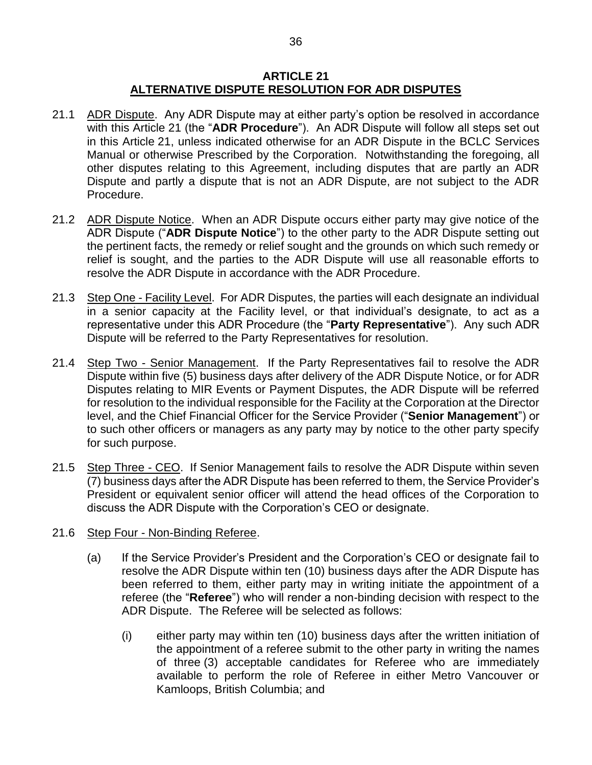#### **ARTICLE 21 ALTERNATIVE DISPUTE RESOLUTION FOR ADR DISPUTES**

- <span id="page-37-0"></span>21.1 ADR Dispute. Any ADR Dispute may at either party's option be resolved in accordance with this [Article](#page-37-0) 21 (the "**ADR Procedure**"). An ADR Dispute will follow all steps set out in this [Article](#page-37-0) 21, unless indicated otherwise for an ADR Dispute in the BCLC Services Manual or otherwise Prescribed by the Corporation. Notwithstanding the foregoing, all other disputes relating to this Agreement, including disputes that are partly an ADR Dispute and partly a dispute that is not an ADR Dispute, are not subject to the ADR Procedure.
- 21.2 ADR Dispute Notice. When an ADR Dispute occurs either party may give notice of the ADR Dispute ("**ADR Dispute Notice**") to the other party to the ADR Dispute setting out the pertinent facts, the remedy or relief sought and the grounds on which such remedy or relief is sought, and the parties to the ADR Dispute will use all reasonable efforts to resolve the ADR Dispute in accordance with the ADR Procedure.
- 21.3 Step One Facility Level. For ADR Disputes, the parties will each designate an individual in a senior capacity at the Facility level, or that individual's designate, to act as a representative under this ADR Procedure (the "**Party Representative**"). Any such ADR Dispute will be referred to the Party Representatives for resolution.
- 21.4 Step Two Senior Management. If the Party Representatives fail to resolve the ADR Dispute within five (5) business days after delivery of the ADR Dispute Notice, or for ADR Disputes relating to MIR Events or Payment Disputes, the ADR Dispute will be referred for resolution to the individual responsible for the Facility at the Corporation at the Director level, and the Chief Financial Officer for the Service Provider ("**Senior Management**") or to such other officers or managers as any party may by notice to the other party specify for such purpose.
- 21.5 Step Three CEO. If Senior Management fails to resolve the ADR Dispute within seven (7) business days after the ADR Dispute has been referred to them, the Service Provider's President or equivalent senior officer will attend the head offices of the Corporation to discuss the ADR Dispute with the Corporation's CEO or designate.
- 21.6 Step Four Non-Binding Referee.
	- (a) If the Service Provider's President and the Corporation's CEO or designate fail to resolve the ADR Dispute within ten (10) business days after the ADR Dispute has been referred to them, either party may in writing initiate the appointment of a referee (the "**Referee**") who will render a non-binding decision with respect to the ADR Dispute. The Referee will be selected as follows:
		- (i) either party may within ten (10) business days after the written initiation of the appointment of a referee submit to the other party in writing the names of three (3) acceptable candidates for Referee who are immediately available to perform the role of Referee in either Metro Vancouver or Kamloops, British Columbia; and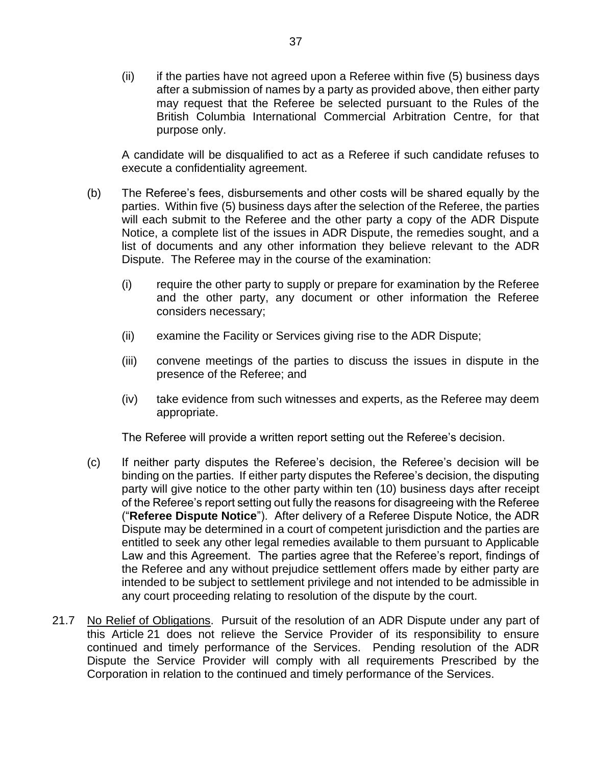(ii) if the parties have not agreed upon a Referee within five (5) business days after a submission of names by a party as provided above, then either party may request that the Referee be selected pursuant to the Rules of the British Columbia International Commercial Arbitration Centre, for that purpose only.

A candidate will be disqualified to act as a Referee if such candidate refuses to execute a confidentiality agreement.

- (b) The Referee's fees, disbursements and other costs will be shared equally by the parties. Within five (5) business days after the selection of the Referee, the parties will each submit to the Referee and the other party a copy of the ADR Dispute Notice, a complete list of the issues in ADR Dispute, the remedies sought, and a list of documents and any other information they believe relevant to the ADR Dispute. The Referee may in the course of the examination:
	- (i) require the other party to supply or prepare for examination by the Referee and the other party, any document or other information the Referee considers necessary;
	- (ii) examine the Facility or Services giving rise to the ADR Dispute;
	- (iii) convene meetings of the parties to discuss the issues in dispute in the presence of the Referee; and
	- (iv) take evidence from such witnesses and experts, as the Referee may deem appropriate.

The Referee will provide a written report setting out the Referee's decision.

- (c) If neither party disputes the Referee's decision, the Referee's decision will be binding on the parties. If either party disputes the Referee's decision, the disputing party will give notice to the other party within ten (10) business days after receipt of the Referee's report setting out fully the reasons for disagreeing with the Referee ("**Referee Dispute Notice**"). After delivery of a Referee Dispute Notice, the ADR Dispute may be determined in a court of competent jurisdiction and the parties are entitled to seek any other legal remedies available to them pursuant to Applicable Law and this Agreement. The parties agree that the Referee's report, findings of the Referee and any without prejudice settlement offers made by either party are intended to be subject to settlement privilege and not intended to be admissible in any court proceeding relating to resolution of the dispute by the court.
- 21.7 No Relief of Obligations. Pursuit of the resolution of an ADR Dispute under any part of this [Article](#page-37-0) 21 does not relieve the Service Provider of its responsibility to ensure continued and timely performance of the Services. Pending resolution of the ADR Dispute the Service Provider will comply with all requirements Prescribed by the Corporation in relation to the continued and timely performance of the Services.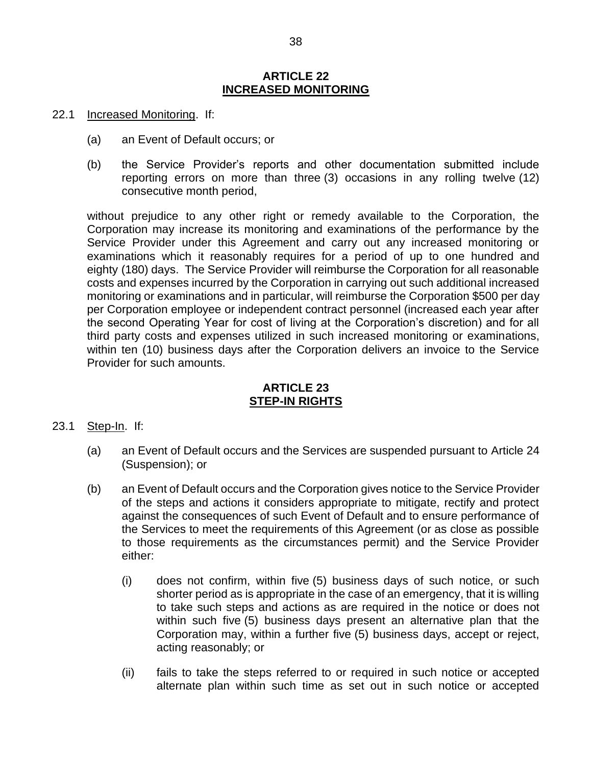#### **ARTICLE 22 INCREASED MONITORING**

- <span id="page-39-0"></span>22.1 Increased Monitoring. If:
	- (a) an Event of Default occurs; or
	- (b) the Service Provider's reports and other documentation submitted include reporting errors on more than three (3) occasions in any rolling twelve (12) consecutive month period,

without prejudice to any other right or remedy available to the Corporation, the Corporation may increase its monitoring and examinations of the performance by the Service Provider under this Agreement and carry out any increased monitoring or examinations which it reasonably requires for a period of up to one hundred and eighty (180) days. The Service Provider will reimburse the Corporation for all reasonable costs and expenses incurred by the Corporation in carrying out such additional increased monitoring or examinations and in particular, will reimburse the Corporation \$500 per day per Corporation employee or independent contract personnel (increased each year after the second Operating Year for cost of living at the Corporation's discretion) and for all third party costs and expenses utilized in such increased monitoring or examinations, within ten (10) business days after the Corporation delivers an invoice to the Service Provider for such amounts.

## **ARTICLE 23 STEP-IN RIGHTS**

- <span id="page-39-1"></span>23.1 Step-In. If:
	- (a) an Event of Default occurs and the Services are suspended pursuant to [Article](#page-40-0) 24 [\(Suspension\)](#page-40-0); or
	- (b) an Event of Default occurs and the Corporation gives notice to the Service Provider of the steps and actions it considers appropriate to mitigate, rectify and protect against the consequences of such Event of Default and to ensure performance of the Services to meet the requirements of this Agreement (or as close as possible to those requirements as the circumstances permit) and the Service Provider either:
		- (i) does not confirm, within five (5) business days of such notice, or such shorter period as is appropriate in the case of an emergency, that it is willing to take such steps and actions as are required in the notice or does not within such five (5) business days present an alternative plan that the Corporation may, within a further five (5) business days, accept or reject, acting reasonably; or
		- (ii) fails to take the steps referred to or required in such notice or accepted alternate plan within such time as set out in such notice or accepted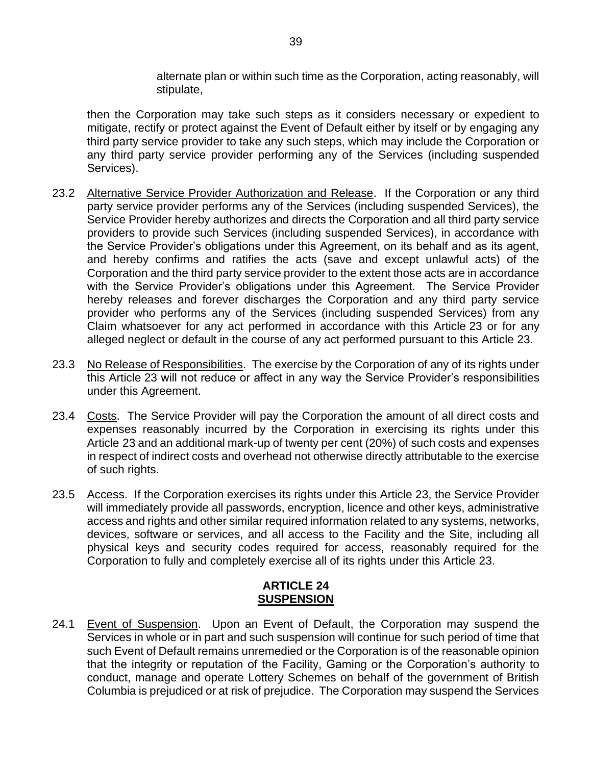alternate plan or within such time as the Corporation, acting reasonably, will stipulate,

then the Corporation may take such steps as it considers necessary or expedient to mitigate, rectify or protect against the Event of Default either by itself or by engaging any third party service provider to take any such steps, which may include the Corporation or any third party service provider performing any of the Services (including suspended Services).

- 23.2 Alternative Service Provider Authorization and Release. If the Corporation or any third party service provider performs any of the Services (including suspended Services), the Service Provider hereby authorizes and directs the Corporation and all third party service providers to provide such Services (including suspended Services), in accordance with the Service Provider's obligations under this Agreement, on its behalf and as its agent, and hereby confirms and ratifies the acts (save and except unlawful acts) of the Corporation and the third party service provider to the extent those acts are in accordance with the Service Provider's obligations under this Agreement. The Service Provider hereby releases and forever discharges the Corporation and any third party service provider who performs any of the Services (including suspended Services) from any Claim whatsoever for any act performed in accordance with this [Article](#page-39-1) 23 or for any alleged neglect or default in the course of any act performed pursuant to this [Article](#page-39-1) 23.
- 23.3 No Release of Responsibilities. The exercise by the Corporation of any of its rights under this [Article](#page-39-1) 23 will not reduce or affect in any way the Service Provider's responsibilities under this Agreement.
- 23.4 Costs. The Service Provider will pay the Corporation the amount of all direct costs and expenses reasonably incurred by the Corporation in exercising its rights under this [Article](#page-39-1) 23 and an additional mark-up of twenty per cent (20%) of such costs and expenses in respect of indirect costs and overhead not otherwise directly attributable to the exercise of such rights.
- 23.5 Access. If the Corporation exercises its rights under this [Article](#page-39-1) 23, the Service Provider will immediately provide all passwords, encryption, licence and other keys, administrative access and rights and other similar required information related to any systems, networks, devices, software or services, and all access to the Facility and the Site, including all physical keys and security codes required for access, reasonably required for the Corporation to fully and completely exercise all of its rights under this [Article](#page-39-1) 23.

## **ARTICLE 24 SUSPENSION**

<span id="page-40-0"></span>24.1 Event of Suspension. Upon an Event of Default, the Corporation may suspend the Services in whole or in part and such suspension will continue for such period of time that such Event of Default remains unremedied or the Corporation is of the reasonable opinion that the integrity or reputation of the Facility, Gaming or the Corporation's authority to conduct, manage and operate Lottery Schemes on behalf of the government of British Columbia is prejudiced or at risk of prejudice. The Corporation may suspend the Services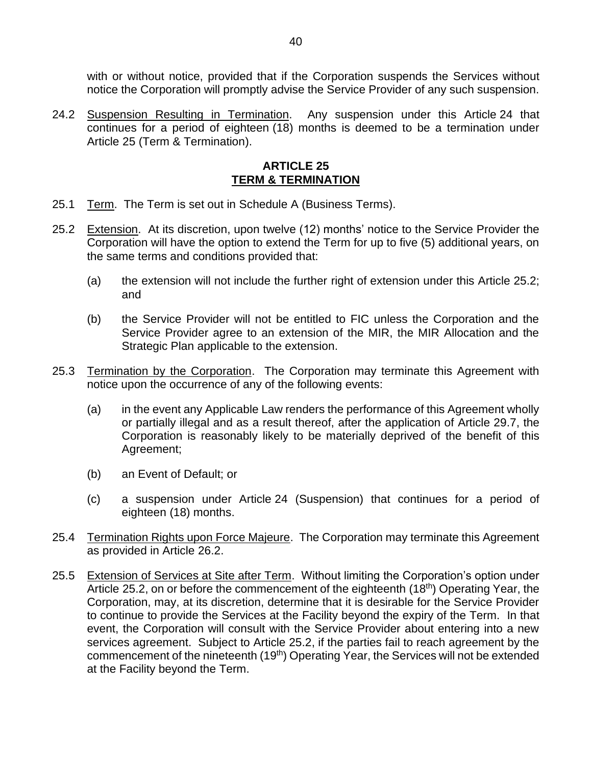with or without notice, provided that if the Corporation suspends the Services without notice the Corporation will promptly advise the Service Provider of any such suspension.

24.2 Suspension Resulting in Termination. Any suspension under this [Article](#page-40-0) 24 that continues for a period of eighteen (18) months is deemed to be a termination under [Article](#page-41-0) 25 [\(Term & Termination\)](#page-41-0).

#### **ARTICLE 25 TERM & TERMINATION**

- <span id="page-41-0"></span>25.1 Term. The Term is set out in [Schedule](#page--1-0) A [\(Business Terms\)](#page--1-0).
- <span id="page-41-1"></span>25.2 Extension. At its discretion, upon twelve (12) months' notice to the Service Provider the Corporation will have the option to extend the Term for up to five (5) additional years, on the same terms and conditions provided that:
	- (a) the extension will not include the further right of extension under this Article [25.2;](#page-41-1) and
	- (b) the Service Provider will not be entitled to FIC unless the Corporation and the Service Provider agree to an extension of the MIR, the MIR Allocation and the Strategic Plan applicable to the extension.
- 25.3 Termination by the Corporation. The Corporation may terminate this Agreement with notice upon the occurrence of any of the following events:
	- (a) in the event any Applicable Law renders the performance of this Agreement wholly or partially illegal and as a result thereof, after the application of Article [29.7,](#page-46-0) the Corporation is reasonably likely to be materially deprived of the benefit of this Agreement;
	- (b) an Event of Default; or
	- (c) a suspension under [Article](#page-40-0) 24 [\(Suspension\)](#page-40-0) that continues for a period of eighteen (18) months.
- 25.4 Termination Rights upon Force Majeure. The Corporation may terminate this Agreement as provided in Article [26.2.](#page-43-3)
- <span id="page-41-2"></span>25.5 Extension of Services at Site after Term. Without limiting the Corporation's option under Article [25.2,](#page-41-1) on or before the commencement of the eighteenth (18<sup>th</sup>) Operating Year, the Corporation, may, at its discretion, determine that it is desirable for the Service Provider to continue to provide the Services at the Facility beyond the expiry of the Term. In that event, the Corporation will consult with the Service Provider about entering into a new services agreement. Subject to Article [25.2,](#page-41-1) if the parties fail to reach agreement by the commencement of the nineteenth (19<sup>th</sup>) Operating Year, the Services will not be extended at the Facility beyond the Term.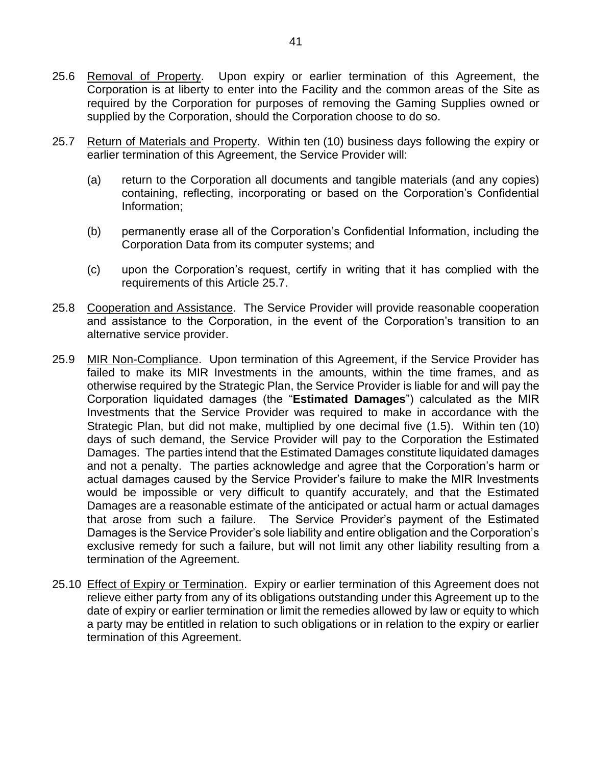- <span id="page-42-1"></span>25.6 Removal of Property. Upon expiry or earlier termination of this Agreement, the Corporation is at liberty to enter into the Facility and the common areas of the Site as required by the Corporation for purposes of removing the Gaming Supplies owned or supplied by the Corporation, should the Corporation choose to do so.
- <span id="page-42-0"></span>25.7 Return of Materials and Property. Within ten (10) business days following the expiry or earlier termination of this Agreement, the Service Provider will:
	- (a) return to the Corporation all documents and tangible materials (and any copies) containing, reflecting, incorporating or based on the Corporation's Confidential Information;
	- (b) permanently erase all of the Corporation's Confidential Information, including the Corporation Data from its computer systems; and
	- (c) upon the Corporation's request, certify in writing that it has complied with the requirements of this Article [25.7.](#page-42-0)
- <span id="page-42-2"></span>25.8 Cooperation and Assistance. The Service Provider will provide reasonable cooperation and assistance to the Corporation, in the event of the Corporation's transition to an alternative service provider.
- <span id="page-42-3"></span>25.9 MIR Non-Compliance. Upon termination of this Agreement, if the Service Provider has failed to make its MIR Investments in the amounts, within the time frames, and as otherwise required by the Strategic Plan, the Service Provider is liable for and will pay the Corporation liquidated damages (the "**Estimated Damages**") calculated as the MIR Investments that the Service Provider was required to make in accordance with the Strategic Plan, but did not make, multiplied by one decimal five (1.5). Within ten (10) days of such demand, the Service Provider will pay to the Corporation the Estimated Damages. The parties intend that the Estimated Damages constitute liquidated damages and not a penalty. The parties acknowledge and agree that the Corporation's harm or actual damages caused by the Service Provider's failure to make the MIR Investments would be impossible or very difficult to quantify accurately, and that the Estimated Damages are a reasonable estimate of the anticipated or actual harm or actual damages that arose from such a failure. The Service Provider's payment of the Estimated Damages is the Service Provider's sole liability and entire obligation and the Corporation's exclusive remedy for such a failure, but will not limit any other liability resulting from a termination of the Agreement.
- <span id="page-42-4"></span>25.10 Effect of Expiry or Termination. Expiry or earlier termination of this Agreement does not relieve either party from any of its obligations outstanding under this Agreement up to the date of expiry or earlier termination or limit the remedies allowed by law or equity to which a party may be entitled in relation to such obligations or in relation to the expiry or earlier termination of this Agreement.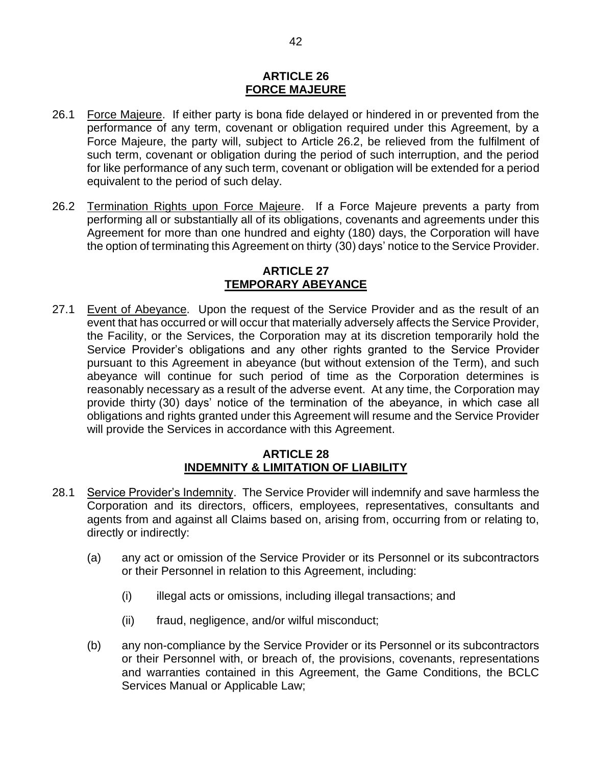#### **ARTICLE 26 FORCE MAJEURE**

- <span id="page-43-0"></span>26.1 Force Majeure. If either party is bona fide delayed or hindered in or prevented from the performance of any term, covenant or obligation required under this Agreement, by a Force Majeure, the party will, subject to Article [26.2,](#page-43-3) be relieved from the fulfilment of such term, covenant or obligation during the period of such interruption, and the period for like performance of any such term, covenant or obligation will be extended for a period equivalent to the period of such delay.
- <span id="page-43-3"></span>26.2 Termination Rights upon Force Majeure. If a Force Majeure prevents a party from performing all or substantially all of its obligations, covenants and agreements under this Agreement for more than one hundred and eighty (180) days, the Corporation will have the option of terminating this Agreement on thirty (30) days' notice to the Service Provider.

#### **ARTICLE 27 TEMPORARY ABEYANCE**

<span id="page-43-1"></span>27.1 Event of Abeyance. Upon the request of the Service Provider and as the result of an event that has occurred or will occur that materially adversely affects the Service Provider, the Facility, or the Services, the Corporation may at its discretion temporarily hold the Service Provider's obligations and any other rights granted to the Service Provider pursuant to this Agreement in abeyance (but without extension of the Term), and such abeyance will continue for such period of time as the Corporation determines is reasonably necessary as a result of the adverse event. At any time, the Corporation may provide thirty (30) days' notice of the termination of the abeyance, in which case all obligations and rights granted under this Agreement will resume and the Service Provider will provide the Services in accordance with this Agreement.

#### **ARTICLE 28 INDEMNITY & LIMITATION OF LIABILITY**

- <span id="page-43-4"></span><span id="page-43-2"></span>28.1 Service Provider's Indemnity. The Service Provider will indemnify and save harmless the Corporation and its directors, officers, employees, representatives, consultants and agents from and against all Claims based on, arising from, occurring from or relating to, directly or indirectly:
	- (a) any act or omission of the Service Provider or its Personnel or its subcontractors or their Personnel in relation to this Agreement, including:
		- (i) illegal acts or omissions, including illegal transactions; and
		- (ii) fraud, negligence, and/or wilful misconduct;
	- (b) any non-compliance by the Service Provider or its Personnel or its subcontractors or their Personnel with, or breach of, the provisions, covenants, representations and warranties contained in this Agreement, the Game Conditions, the BCLC Services Manual or Applicable Law;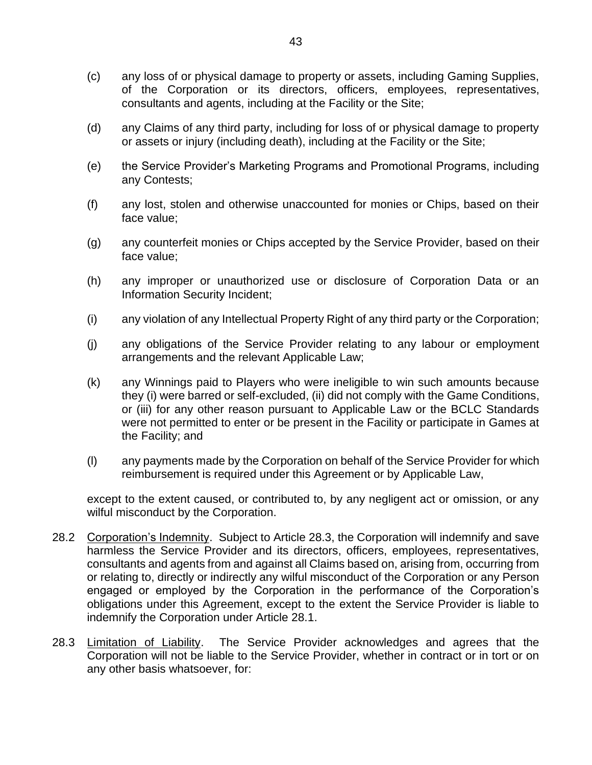- (c) any loss of or physical damage to property or assets, including Gaming Supplies, of the Corporation or its directors, officers, employees, representatives, consultants and agents, including at the Facility or the Site;
- (d) any Claims of any third party, including for loss of or physical damage to property or assets or injury (including death), including at the Facility or the Site;
- (e) the Service Provider's Marketing Programs and Promotional Programs, including any Contests;
- (f) any lost, stolen and otherwise unaccounted for monies or Chips, based on their face value;
- (g) any counterfeit monies or Chips accepted by the Service Provider, based on their face value;
- (h) any improper or unauthorized use or disclosure of Corporation Data or an Information Security Incident;
- (i) any violation of any Intellectual Property Right of any third party or the Corporation;
- (j) any obligations of the Service Provider relating to any labour or employment arrangements and the relevant Applicable Law;
- (k) any Winnings paid to Players who were ineligible to win such amounts because they (i) were barred or self-excluded, (ii) did not comply with the Game Conditions, or (iii) for any other reason pursuant to Applicable Law or the BCLC Standards were not permitted to enter or be present in the Facility or participate in Games at the Facility; and
- (l) any payments made by the Corporation on behalf of the Service Provider for which reimbursement is required under this Agreement or by Applicable Law,

except to the extent caused, or contributed to, by any negligent act or omission, or any wilful misconduct by the Corporation.

- 28.2 Corporation's Indemnity. Subject to Article [28.3,](#page-44-0) the Corporation will indemnify and save harmless the Service Provider and its directors, officers, employees, representatives, consultants and agents from and against all Claims based on, arising from, occurring from or relating to, directly or indirectly any wilful misconduct of the Corporation or any Person engaged or employed by the Corporation in the performance of the Corporation's obligations under this Agreement, except to the extent the Service Provider is liable to indemnify the Corporation under Article [28.1.](#page-43-4)
- <span id="page-44-0"></span>28.3 Limitation of Liability. The Service Provider acknowledges and agrees that the Corporation will not be liable to the Service Provider, whether in contract or in tort or on any other basis whatsoever, for: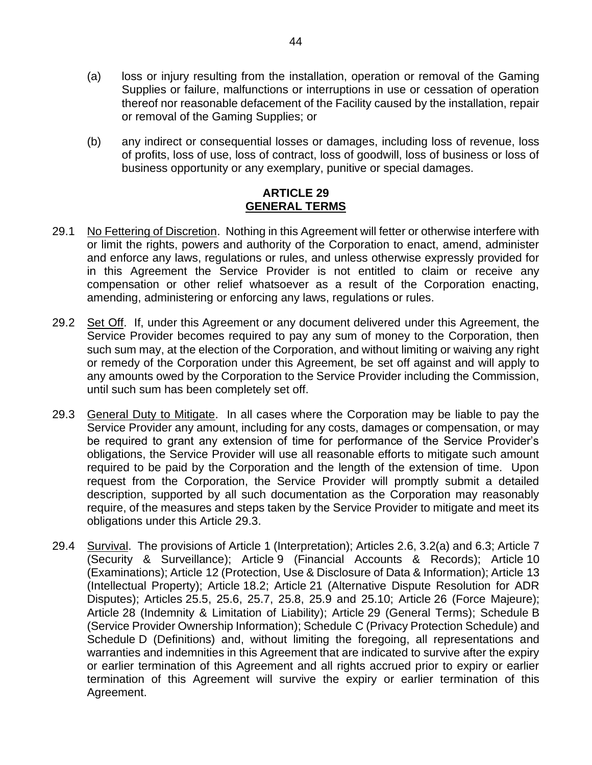- (a) loss or injury resulting from the installation, operation or removal of the Gaming Supplies or failure, malfunctions or interruptions in use or cessation of operation thereof nor reasonable defacement of the Facility caused by the installation, repair or removal of the Gaming Supplies; or
- (b) any indirect or consequential losses or damages, including loss of revenue, loss of profits, loss of use, loss of contract, loss of goodwill, loss of business or loss of business opportunity or any exemplary, punitive or special damages.

#### **ARTICLE 29 GENERAL TERMS**

- <span id="page-45-0"></span>29.1 No Fettering of Discretion. Nothing in this Agreement will fetter or otherwise interfere with or limit the rights, powers and authority of the Corporation to enact, amend, administer and enforce any laws, regulations or rules, and unless otherwise expressly provided for in this Agreement the Service Provider is not entitled to claim or receive any compensation or other relief whatsoever as a result of the Corporation enacting, amending, administering or enforcing any laws, regulations or rules.
- 29.2 Set Off. If, under this Agreement or any document delivered under this Agreement, the Service Provider becomes required to pay any sum of money to the Corporation, then such sum may, at the election of the Corporation, and without limiting or waiving any right or remedy of the Corporation under this Agreement, be set off against and will apply to any amounts owed by the Corporation to the Service Provider including the Commission, until such sum has been completely set off.
- <span id="page-45-1"></span>29.3 General Duty to Mitigate. In all cases where the Corporation may be liable to pay the Service Provider any amount, including for any costs, damages or compensation, or may be required to grant any extension of time for performance of the Service Provider's obligations, the Service Provider will use all reasonable efforts to mitigate such amount required to be paid by the Corporation and the length of the extension of time. Upon request from the Corporation, the Service Provider will promptly submit a detailed description, supported by all such documentation as the Corporation may reasonably require, of the measures and steps taken by the Service Provider to mitigate and meet its obligations under this Article [29.3.](#page-45-1)
- 29.4 Survival. The provisions of [Article](#page-3-0) 1 [\(Interpretation\)](#page-3-0); Articles [2.6,](#page-5-5) [3.2\(a\)](#page-5-6) and [6.3;](#page-13-3) [Article](#page-13-0) 7 [\(Security & Surveillance\)](#page-13-0); [Article](#page-18-0) 9 [\(Financial Accounts & Records\)](#page-18-0); [Article](#page-19-0) 10 [\(Examinations\)](#page-19-0); [Article](#page-21-0) 12 [\(Protection, Use & Disclosure of Data & Information\)](#page-21-0); [Article](#page-24-0) 13 [\(Intellectual Property\)](#page-24-0); Article [18.2;](#page-34-3) [Article](#page-37-0) 21 [\(Alternative Dispute Resolution for ADR](#page-37-0)  [Disputes\)](#page-37-0); Articles [25.5,](#page-41-2) [25.6,](#page-42-1) [25.7,](#page-42-0) [25.8,](#page-42-2) [25.9](#page-42-3) and [25.10;](#page-42-4) [Article](#page-43-0) 26 [\(Force Majeure\)](#page-43-0); [Article](#page-43-2) 28 [\(Indemnity & Limitation of Liability\)](#page-43-2); [Article](#page-45-0) 29 [\(General Terms\)](#page-45-0); [Schedule](#page--1-0) B [\(Service Provider Ownership Information\)](#page--1-0); [Schedule](#page--1-1) C [\(Privacy Protection Schedule\)](#page--1-1) and [Schedule](#page--1-2) D [\(Definitions\)](#page--1-2) and, without limiting the foregoing, all representations and warranties and indemnities in this Agreement that are indicated to survive after the expiry or earlier termination of this Agreement and all rights accrued prior to expiry or earlier termination of this Agreement will survive the expiry or earlier termination of this Agreement.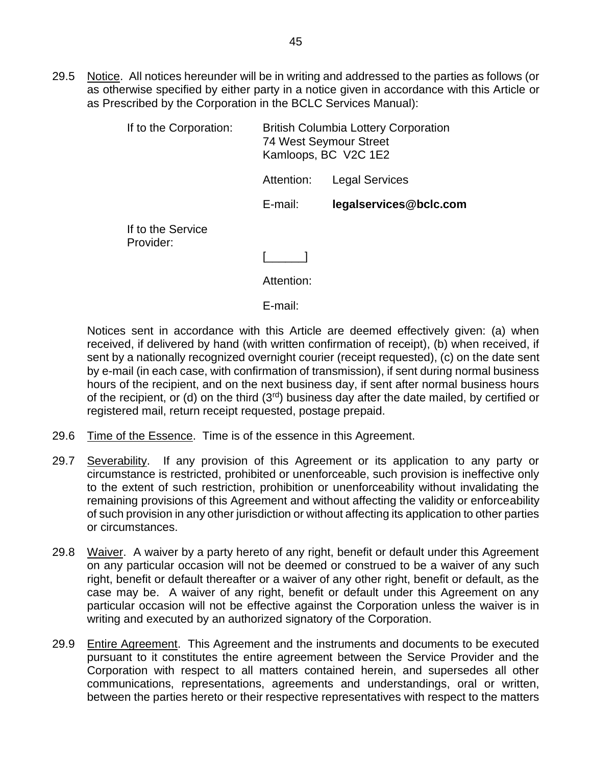29.5 Notice. All notices hereunder will be in writing and addressed to the parties as follows (or as otherwise specified by either party in a notice given in accordance with this Article or as Prescribed by the Corporation in the BCLC Services Manual):

| If to the Corporation:         | <b>British Columbia Lottery Corporation</b><br><b>74 West Seymour Street</b><br>Kamloops, BC V2C 1E2 |                        |
|--------------------------------|------------------------------------------------------------------------------------------------------|------------------------|
|                                | Attention:                                                                                           | <b>Legal Services</b>  |
|                                | E-mail:                                                                                              | legalservices@bclc.com |
| If to the Service<br>Provider: |                                                                                                      |                        |
|                                |                                                                                                      |                        |
|                                | Attention:                                                                                           |                        |

E-mail:

Notices sent in accordance with this Article are deemed effectively given: (a) when received, if delivered by hand (with written confirmation of receipt), (b) when received, if sent by a nationally recognized overnight courier (receipt requested), (c) on the date sent by e-mail (in each case, with confirmation of transmission), if sent during normal business hours of the recipient, and on the next business day, if sent after normal business hours of the recipient, or (d) on the third  $(3<sup>rd</sup>)$  business day after the date mailed, by certified or registered mail, return receipt requested, postage prepaid.

- <span id="page-46-0"></span>29.6 Time of the **Essence**. Time is of the essence in this Agreement.
- 29.7 Severability. If any provision of this Agreement or its application to any party or circumstance is restricted, prohibited or unenforceable, such provision is ineffective only to the extent of such restriction, prohibition or unenforceability without invalidating the remaining provisions of this Agreement and without affecting the validity or enforceability of such provision in any other jurisdiction or without affecting its application to other parties or circumstances.
- 29.8 Waiver. A waiver by a party hereto of any right, benefit or default under this Agreement on any particular occasion will not be deemed or construed to be a waiver of any such right, benefit or default thereafter or a waiver of any other right, benefit or default, as the case may be. A waiver of any right, benefit or default under this Agreement on any particular occasion will not be effective against the Corporation unless the waiver is in writing and executed by an authorized signatory of the Corporation.
- 29.9 Entire Agreement. This Agreement and the instruments and documents to be executed pursuant to it constitutes the entire agreement between the Service Provider and the Corporation with respect to all matters contained herein, and supersedes all other communications, representations, agreements and understandings, oral or written, between the parties hereto or their respective representatives with respect to the matters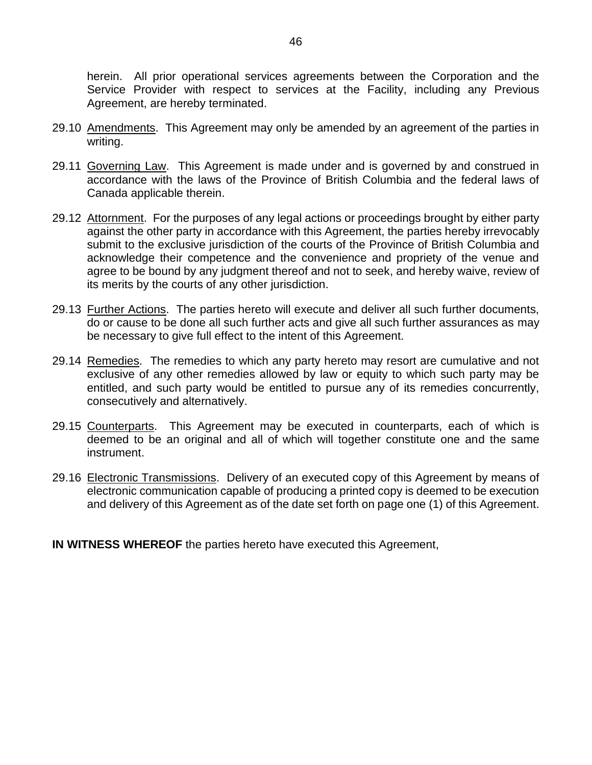herein. All prior operational services agreements between the Corporation and the Service Provider with respect to services at the Facility, including any Previous Agreement, are hereby terminated.

- 29.10 Amendments. This Agreement may only be amended by an agreement of the parties in writing.
- 29.11 Governing Law. This Agreement is made under and is governed by and construed in accordance with the laws of the Province of British Columbia and the federal laws of Canada applicable therein.
- 29.12 Attornment. For the purposes of any legal actions or proceedings brought by either party against the other party in accordance with this Agreement, the parties hereby irrevocably submit to the exclusive jurisdiction of the courts of the Province of British Columbia and acknowledge their competence and the convenience and propriety of the venue and agree to be bound by any judgment thereof and not to seek, and hereby waive, review of its merits by the courts of any other jurisdiction.
- 29.13 Further Actions. The parties hereto will execute and deliver all such further documents, do or cause to be done all such further acts and give all such further assurances as may be necessary to give full effect to the intent of this Agreement.
- 29.14 Remedies. The remedies to which any party hereto may resort are cumulative and not exclusive of any other remedies allowed by law or equity to which such party may be entitled, and such party would be entitled to pursue any of its remedies concurrently, consecutively and alternatively.
- 29.15 Counterparts. This Agreement may be executed in counterparts, each of which is deemed to be an original and all of which will together constitute one and the same instrument.
- 29.16 Electronic Transmissions. Delivery of an executed copy of this Agreement by means of electronic communication capable of producing a printed copy is deemed to be execution and delivery of this Agreement as of the date set forth on page one (1) of this Agreement.

**IN WITNESS WHEREOF** the parties hereto have executed this Agreement,